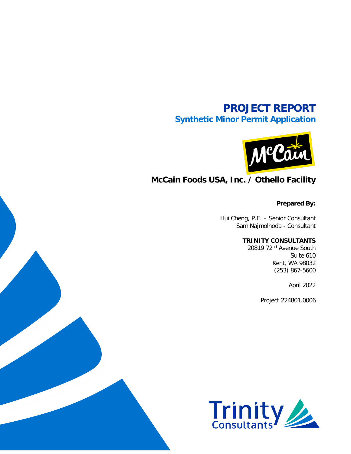# **PROJECT REPORT Synthetic Minor Permit Application**



# **McCain Foods USA, Inc. / Othello Facility**

**Prepared By:**

Hui Cheng, P.E. – Senior Consultant Sam Najmolhoda - Consultant

### **TRINITY CONSULTANTS**

20819 72nd Avenue South Suite 610 Kent, WA 98032 (253) 867-5600

April 2022

Project 224801.0006

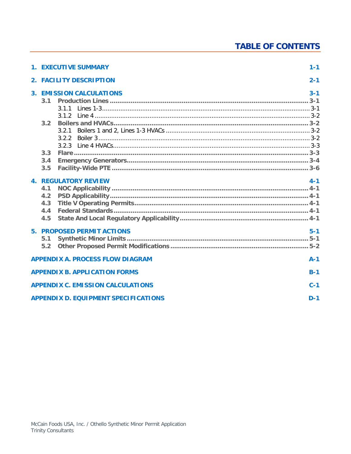# **TABLE OF CONTENTS**

| <b>1. EXECUTIVE SUMMARY</b>                                              | $1 - 1$            |
|--------------------------------------------------------------------------|--------------------|
| 2. FACILITY DESCRIPTION                                                  | $2 - 1$            |
| <b>3. EMISSION CALCULATIONS</b><br>3.1<br>3.1.1<br>3.2<br>3.2.1<br>3.2.2 | $3 - 1$<br>$3 - 1$ |
| 3.3<br>3.4<br>3.5                                                        |                    |
| <b>4. REGULATORY REVIEW</b><br>4.1<br>4.2<br>4.3<br>4.4<br>4.5           | $4 - 1$            |
| <b>5. PROPOSED PERMIT ACTIONS</b><br>5.1<br>5.2                          | $5-1$              |
| <b>APPENDIX A. PROCESS FLOW DIAGRAM</b>                                  | $A-1$              |
| <b>APPENDIX B. APPLICATION FORMS</b>                                     | $B-1$              |
| <b>APPENDIX C. EMISSION CALCULATIONS</b>                                 | $C-1$              |
| <b>APPENDIX D. EQUIPMENT SPECIFICATIONS</b>                              | $D-1$              |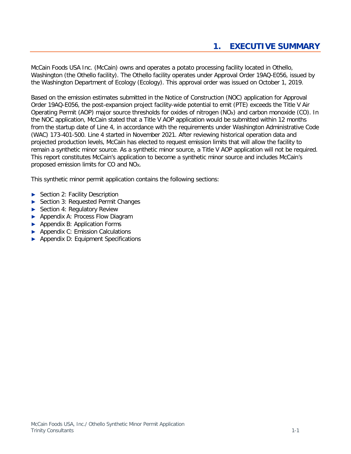<span id="page-2-0"></span>McCain Foods USA Inc. (McCain) owns and operates a potato processing facility located in Othello, Washington (the Othello facility). The Othello facility operates under Approval Order 19AQ-E056, issued by the Washington Department of Ecology (Ecology). This approval order was issued on October 1, 2019.

Based on the emission estimates submitted in the Notice of Construction (NOC) application for Approval Order 19AQ-E056, the post-expansion project facility-wide potential to emit (PTE) exceeds the Title V Air Operating Permit (AOP) major source thresholds for oxides of nitrogen (NO<sub>x</sub>) and carbon monoxide (CO). In the NOC application, McCain stated that a Title V AOP application would be submitted within 12 months from the startup date of Line 4, in accordance with the requirements under Washington Administrative Code (WAC) 173-401-500. Line 4 started in November 2021. After reviewing historical operation data and projected production levels, McCain has elected to request emission limits that will allow the facility to remain a synthetic minor source. As a synthetic minor source, a Title V AOP application will not be required. This report constitutes McCain's application to become a synthetic minor source and includes McCain's proposed emission limits for CO and NOX.

This synthetic minor permit application contains the following sections:

- **►** Section 2: [Facility Description](#page-3-0)
- **►** Section 3: Requested Permit Changes
- **►** Section 4: [Regulatory Review](#page-10-0)
- **►** Appendix A: [Process Flow Diagram](#page-15-0)
- **►** Appendix B: [Application Forms](#page-17-0)
- **►** Appendix C: [Emission Calculations](#page-24-0)
- **►** Appendix D: Equipment Specifications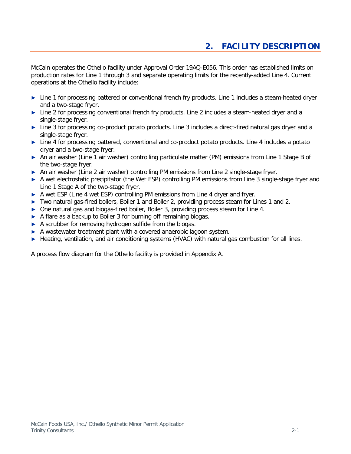# **2. FACILITY DESCRIPTION**

<span id="page-3-0"></span>McCain operates the Othello facility under Approval Order 19AQ-E056. This order has established limits on production rates for Line 1 through 3 and separate operating limits for the recently-added Line 4. Current operations at the Othello facility include:

- **►** Line 1 for processing battered or conventional french fry products. Line 1 includes a steam-heated dryer and a two-stage fryer.
- **►** Line 2 for processing conventional french fry products. Line 2 includes a steam-heated dryer and a single-stage fryer.
- **►** Line 3 for processing co-product potato products. Line 3 includes a direct-fired natural gas dryer and a single-stage fryer.
- **►** Line 4 for processing battered, conventional and co-product potato products. Line 4 includes a potato dryer and a two-stage fryer.
- **►** An air washer (Line 1 air washer) controlling particulate matter (PM) emissions from Line 1 Stage B of the two-stage fryer.
- **►** An air washer (Line 2 air washer) controlling PM emissions from Line 2 single-stage fryer.
- **►** A wet electrostatic precipitator (the Wet ESP) controlling PM emissions from Line 3 single-stage fryer and Line 1 Stage A of the two-stage fryer.
- **►** A wet ESP (Line 4 wet ESP) controlling PM emissions from Line 4 dryer and fryer.
- **►** Two natural gas-fired boilers, Boiler 1 and Boiler 2, providing process steam for Lines 1 and 2.
- **►** One natural gas and biogas-fired boiler, Boiler 3, providing process steam for Line 4.
- **►** A flare as a backup to Boiler 3 for burning off remaining biogas.
- **►** A scrubber for removing hydrogen sulfide from the biogas.
- **►** A wastewater treatment plant with a covered anaerobic lagoon system.
- **►** Heating, ventilation, and air conditioning systems (HVAC) with natural gas combustion for all lines.

A process flow diagram for the Othello facility is provided in Appendix A.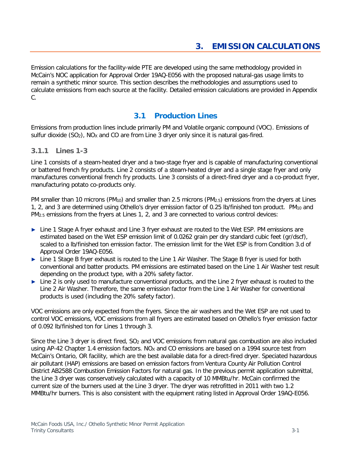<span id="page-4-0"></span>Emission calculations for the facility-wide PTE are developed using the same methodology provided in McCain's NOC application for Approval Order 19AQ-E056 with the proposed natural-gas usage limits to remain a synthetic minor source. This section describes the methodologies and assumptions used to calculate emissions from each source at the facility. Detailed emission calculations are provided in [Appendix](#page-24-0)  [C.](#page-24-0)

# **3.1 Production Lines**

<span id="page-4-1"></span>Emissions from production lines include primarily PM and Volatile organic compound (VOC). Emissions of sulfur dioxide  $(SO<sub>2</sub>)$ , NO<sub>X</sub> and CO are from Line 3 dryer only since it is natural gas-fired.

### <span id="page-4-2"></span>**3.1.1 Lines 1-3**

Line 1 consists of a steam-heated dryer and a two-stage fryer and is capable of manufacturing conventional or battered french fry products. Line 2 consists of a steam-heated dryer and a single stage fryer and only manufactures conventional french fry products. Line 3 consists of a direct-fired dryer and a co-product fryer, manufacturing potato co-products only.

PM smaller than 10 microns (PM<sub>10</sub>) and smaller than 2.5 microns (PM<sub>2.5</sub>) emissions from the dryers at Lines 1, 2, and 3 are determined using Othello's dryer emission factor of 0.25 lb/finished ton product. PM10 and PM<sub>2.5</sub> emissions from the fryers at Lines 1, 2, and 3 are connected to various control devices:

- **►** Line 1 Stage A fryer exhaust and Line 3 fryer exhaust are routed to the Wet ESP. PM emissions are estimated based on the Wet ESP emission limit of 0.0262 grain per dry standard cubic feet (gr/dscf), scaled to a lb/finished ton emission factor. The emission limit for the Wet ESP is from Condition 3.d of Approval Order 19AQ-E056.
- **►** Line 1 Stage B fryer exhaust is routed to the Line 1 Air Washer. The Stage B fryer is used for both conventional and batter products. PM emissions are estimated based on the Line 1 Air Washer test result depending on the product type, with a 20% safety factor.
- **►** Line 2 is only used to manufacture conventional products, and the Line 2 fryer exhaust is routed to the Line 2 Air Washer. Therefore, the same emission factor from the Line 1 Air Washer for conventional products is used (including the 20% safety factor).

VOC emissions are only expected from the fryers. Since the air washers and the Wet ESP are not used to control VOC emissions, VOC emissions from all fryers are estimated based on Othello's fryer emission factor of 0.092 lb/finished ton for Lines 1 through 3.

Since the Line 3 dryer is direct fired, SO<sub>2</sub> and VOC emissions from natural gas combustion are also included using AP-42 Chapter 1.4 emission factors. NO<sub>x</sub> and CO emissions are based on a 1994 source test from McCain's Ontario, OR facility, which are the best available data for a direct-fired dryer. Speciated hazardous air pollutant (HAP) emissions are based on emission factors from Ventura County Air Pollution Control District AB2588 Combustion Emission Factors for natural gas. In the previous permit application submittal, the Line 3 dryer was conservatively calculated with a capacity of 10 MMBtu/hr. McCain confirmed the current size of the burners used at the Line 3 dryer. The dryer was retrofitted in 2011 with two 1.2 MMBtu/hr burners. This is also consistent with the equipment rating listed in Approval Order 19AQ-E056.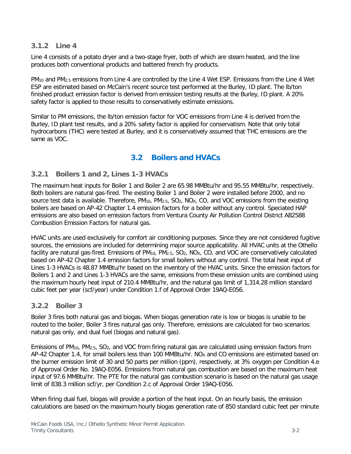### <span id="page-5-0"></span>**3.1.2 Line 4**

Line 4 consists of a potato dryer and a two-stage fryer, both of which are steam heated, and the line produces both conventional products and battered french fry products.

PM10 and PM2.5 emissions from Line 4 are controlled by the Line 4 Wet ESP. Emissions from the Line 4 Wet ESP are estimated based on McCain's recent source test performed at the Burley, ID plant. The lb/ton finished product emission factor is derived from emission testing results at the Burley, ID plant. A 20% safety factor is applied to those results to conservatively estimate emissions.

Similar to PM emissions, the lb/ton emission factor for VOC emissions from Line 4 is derived from the Burley, ID plant test results, and a 20% safety factor is applied for conservatism. Note that only total hydrocarbons (THC) were tested at Burley, and it is conservatively assumed that THC emissions are the same as VOC.

# **3.2 Boilers and HVACs**

### <span id="page-5-2"></span><span id="page-5-1"></span>**3.2.1 Boilers 1 and 2, Lines 1-3 HVACs**

The maximum heat inputs for Boiler 1 and Boiler 2 are 65.98 MMBtu/hr and 95.55 MMBtu/hr, respectively. Both boilers are natural gas-fired. The existing Boiler 1 and Boiler 2 were installed before 2000, and no source test data is available. Therefore, PM<sub>10</sub>, PM<sub>2.5</sub>, SO<sub>2</sub>, NO<sub>X</sub>, CO, and VOC emissions from the existing boilers are based on AP-42 Chapter 1.4 emission factors for a boiler without any control. Speciated HAP emissions are also based on emission factors from Ventura County Air Pollution Control District AB2588 Combustion Emission Factors for natural gas.

HVAC units are used exclusively for comfort air conditioning purposes. Since they are not considered fugitive sources, the emissions are included for determining major source applicability. All HVAC units at the Othello facility are natural gas-fired. Emissions of  $PM_{10}$ ,  $PM_{2.5}$ ,  $SO_2$ ,  $NO<sub>X</sub>$ ,  $CO$ , and VOC are conservatively calculated based on AP-42 Chapter 1.4 emission factors for small boilers without any control. The total heat input of Lines 1-3 HVACs is 48.87 MMBtu/hr based on the inventory of the HVAC units. Since the emission factors for Boilers 1 and 2 and Lines 1-3 HVACs are the same, emissions from these emission units are combined using the maximum hourly heat input of 210.4 MMBtu/hr, and the natural gas limit of 1,314.28 million standard cubic feet per year (scf/year) under Condition 1.f of Approval Order 19AQ-E056.

### <span id="page-5-3"></span>**3.2.2 Boiler 3**

Boiler 3 fires both natural gas and biogas. When biogas generation rate is low or biogas is unable to be routed to the boiler, Boiler 3 fires natural gas only. Therefore, emissions are calculated for two scenarios: natural gas only, and dual fuel (biogas and natural gas).

Emissions of PM10, PM2.5, SO2, and VOC from firing natural gas are calculated using emission factors from AP-42 Chapter 1.4, for small boilers less than 100 MMBtu/hr. NO<sub>x</sub> and CO emissions are estimated based on the burner emission limit of 30 and 50 parts per million (ppm), respectively, at 3% oxygen per Condition 4.e of Approval Order No. 19AQ-E056. Emissions from natural gas combustion are based on the maximum heat input of 97.6 MMBtu/hr. The PTE for the natural gas combustion scenario is based on the natural gas usage limit of 838.3 million scf/yr, per Condition 2.c of Approval Order 19AQ-E056.

When firing dual fuel, biogas will provide a portion of the heat input. On an hourly basis, the emission calculations are based on the maximum hourly biogas generation rate of 850 standard cubic feet per minute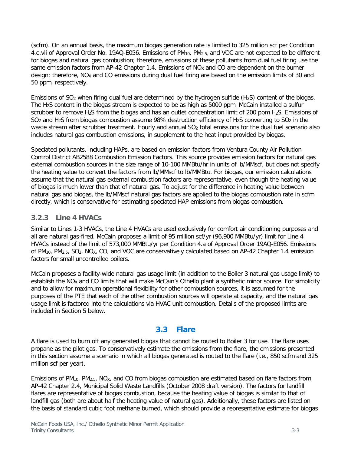(scfm). On an annual basis, the maximum biogas generation rate is limited to 325 million scf per Condition 4.e.vii of Approval Order No. 19AQ-E056. Emissions of PM10, PM2.5, and VOC are not expected to be different for biogas and natural gas combustion; therefore, emissions of these pollutants from dual fuel firing use the same emission factors from AP-42 Chapter 1.4. Emissions of  $NO<sub>X</sub>$  and CO are dependent on the burner design; therefore, NO<sub>x</sub> and CO emissions during dual fuel firing are based on the emission limits of 30 and 50 ppm, respectively.

Emissions of SO<sub>2</sub> when firing dual fuel are determined by the hydrogen sulfide (H<sub>2</sub>S) content of the biogas. The H2S content in the biogas stream is expected to be as high as 5000 ppm. McCain installed a sulfur scrubber to remove H<sub>2</sub>S from the biogas and has an outlet concentration limit of 200 ppm H<sub>2</sub>S. Emissions of SO<sub>2</sub> and H<sub>2</sub>S from biogas combustion assume 98% destruction efficiency of H<sub>2</sub>S converting to SO<sub>2</sub> in the waste stream after scrubber treatment. Hourly and annual SO<sub>2</sub> total emissions for the dual fuel scenario also includes natural gas combustion emissions, in supplement to the heat input provided by biogas.

Speciated pollutants, including HAPs, are based on emission factors from Ventura County Air Pollution Control District AB2588 Combustion Emission Factors. This source provides emission factors for natural gas external combustion sources in the size range of 10-100 MMBtu/hr in units of lb/MMscf, but does not specify the heating value to convert the factors from lb/MMscf to lb/MMBtu. For biogas, our emission calculations assume that the natural gas external combustion factors are representative, even though the heating value of biogas is much lower than that of natural gas. To adjust for the difference in heating value between natural gas and biogas, the lb/MMscf natural gas factors are applied to the biogas combustion rate in scfm directly, which is conservative for estimating speciated HAP emissions from biogas combustion.

### <span id="page-6-0"></span>**3.2.3 Line 4 HVACs**

Similar to Lines 1-3 HVACs, the Line 4 HVACs are used exclusively for comfort air conditioning purposes and all are natural gas-fired. McCain proposes a limit of 95 million scf/yr (96,900 MMBtu/yr) limit for Line 4 HVACs instead of the limit of 573,000 MMBtu/yr per Condition 4.a of Approval Order 19AQ-E056. Emissions of PM10, PM2.5, SO2, NOX, CO, and VOC are conservatively calculated based on AP-42 Chapter 1.4 emission factors for small uncontrolled boilers.

McCain proposes a facility-wide natural gas usage limit (in addition to the Boiler 3 natural gas usage limit) to establish the NO<sub>X</sub> and CO limits that will make McCain's Othello plant a synthetic minor source. For simplicity and to allow for maximum operational flexibility for other combustion sources, it is assumed for the purposes of the PTE that each of the other combustion sources will operate at capacity, and the natural gas usage limit is factored into the calculations via HVAC unit combustion. Details of the proposed limits are included in Section [5](#page-13-0) below.

# **3.3 Flare**

<span id="page-6-1"></span>A flare is used to burn off any generated biogas that cannot be routed to Boiler 3 for use. The flare uses propane as the pilot gas. To conservatively estimate the emissions from the flare, the emissions presented in this section assume a scenario in which all biogas generated is routed to the flare (i.e., 850 scfm and 325 million scf per year).

Emissions of PM10, PM2.5, NOX, and CO from biogas combustion are estimated based on flare factors from AP-42 Chapter 2.4, Municipal Solid Waste Landfills (October 2008 draft version). The factors for landfill flares are representative of biogas combustion, because the heating value of biogas is similar to that of landfill gas (both are about half the heating value of natural gas). Additionally, these factors are listed on the basis of standard cubic foot methane burned, which should provide a representative estimate for biogas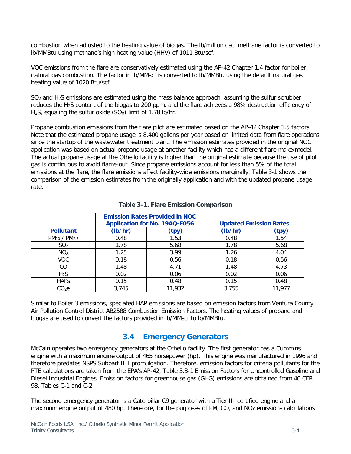combustion when adjusted to the heating value of biogas. The lb/million dscf methane factor is converted to lb/MMBtu using methane's high heating value (HHV) of 1011 Btu/scf.

VOC emissions from the flare are conservatively estimated using the AP-42 Chapter 1.4 factor for boiler natural gas combustion. The factor in lb/MMscf is converted to lb/MMBtu using the default natural gas heating value of 1020 Btu/scf.

SO<sub>2</sub> and H<sub>2</sub>S emissions are estimated using the mass balance approach, assuming the sulfur scrubber reduces the H2S content of the biogas to 200 ppm, and the flare achieves a 98% destruction efficiency of H<sub>2</sub>S, equaling the sulfur oxide  $(SO<sub>X</sub>)$  limit of 1.78 lb/hr.

Propane combustion emissions from the flare pilot are estimated based on the AP-42 Chapter 1.5 factors. Note that the estimated propane usage is 8,400 gallons per year based on limited data from flare operations since the startup of the wastewater treatment plant. The emission estimates provided in the original NOC application was based on actual propane usage at another facility which has a different flare make/model. The actual propane usage at the Othello facility is higher than the original estimate because the use of pilot gas is continuous to avoid flame-out. Since propane emissions account for less than 5% of the total emissions at the flare, the flare emissions affect facility-wide emissions marginally. [Table 3-1](#page-7-1) shows the comparison of the emission estimates from the originally application and with the updated propane usage rate.

<span id="page-7-1"></span>

|                                      | <b>Emission Rates Provided in NOC</b><br><b>Application for No. 19AQ-E056</b> |        | <b>Updated Emission Rates</b> |        |
|--------------------------------------|-------------------------------------------------------------------------------|--------|-------------------------------|--------|
| <b>Pollutant</b>                     | (lb/hr)                                                                       | (tpy)  | (lb/hr)                       | (tpy)  |
| PM <sub>10</sub> / PM <sub>2.5</sub> | 0.48                                                                          | 1.53   | 0.48                          | 1.54   |
| SO <sub>2</sub>                      | 1.78                                                                          | 5.68   | 1.78                          | 5.68   |
| NO <sub>X</sub>                      | 1.25                                                                          | 3.99   | 1.26                          | 4.04   |
| <b>VOC</b>                           | 0.18                                                                          | 0.56   | 0.18                          | 0.56   |
| CO                                   | 1.48                                                                          | 4.71   | 1.48                          | 4.73   |
| H <sub>2</sub> S                     | 0.02                                                                          | 0.06   | 0.02                          | 0.06   |
| <b>HAPS</b>                          | 0.15                                                                          | 0.48   | 0.15                          | 0.48   |
| CO2e                                 | 3,745                                                                         | 11,932 | 3,755                         | 11,977 |

### **Table 3-1. Flare Emission Comparison**

<span id="page-7-0"></span>Similar to Boiler 3 emissions, speciated HAP emissions are based on emission factors from Ventura County Air Pollution Control District AB2588 Combustion Emission Factors. The heating values of propane and biogas are used to convert the factors provided in lb/MMscf to lb/MMBtu.

# **3.4 Emergency Generators**

McCain operates two emergency generators at the Othello facility. The first generator has a Cummins engine with a maximum engine output of 465 horsepower (hp). This engine was manufactured in 1996 and therefore predates NSPS Subpart IIII promulgation. Therefore, emission factors for criteria pollutants for the PTE calculations are taken from the EPA's AP-42, Table 3.3-1 Emission Factors for Uncontrolled Gasoline and Diesel Industrial Engines. Emission factors for greenhouse gas (GHG) emissions are obtained from 40 CFR 98, Tables C-1 and C-2.

The second emergency generator is a Caterpillar C9 generator with a Tier III certified engine and a maximum engine output of 480 hp. Therefore, for the purposes of PM, CO, and  $NO<sub>X</sub>$  emissions calculations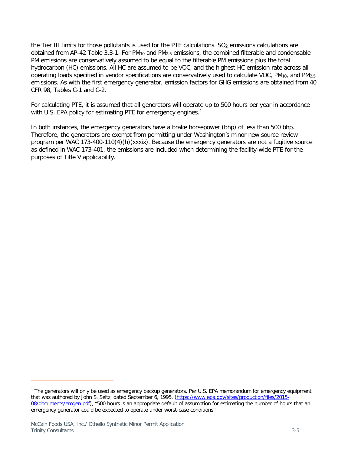the Tier III limits for those pollutants is used for the PTE calculations. SO<sub>2</sub> emissions calculations are obtained from AP-42 Table 3.3-1. For PM10 and PM2.5 emissions, the combined filterable and condensable PM emissions are conservatively assumed to be equal to the filterable PM emissions plus the total hydrocarbon (HC) emissions. All HC are assumed to be VOC, and the highest HC emission rate across all operating loads specified in vendor specifications are conservatively used to calculate VOC, PM<sub>10</sub>, and PM<sub>2.5</sub> emissions. As with the first emergency generator, emission factors for GHG emissions are obtained from 40 CFR 98, Tables C-1 and C-2.

For calculating PTE, it is assumed that all generators will operate up to 500 hours per year in accordance with U.S. EPA policy for estimating PTE for emergency engines.<sup>[1](#page-8-0)</sup>

In both instances, the emergency generators have a brake horsepower (bhp) of less than 500 bhp. Therefore, the generators are exempt from permitting under Washington's minor new source review program per WAC 173-400-110(4)(h)(xxxix). Because the emergency generators are not a fugitive source as defined in WAC 173-401, the emissions are included when determining the facility-wide PTE for the purposes of Title V applicability.

<span id="page-8-0"></span><sup>1</sup> The generators will only be used as emergency backup generators. Per U.S. EPA memorandum for emergency equipment that was authored by John S. Seitz, dated September 6, 1995, [\(https://www.epa.gov/sites/production/files/2015-](https://www.epa.gov/sites/production/files/2015-08/documents/emgen.pdf) [08/documents/emgen.pdf\)](https://www.epa.gov/sites/production/files/2015-08/documents/emgen.pdf), "500 hours is an appropriate default of assumption for estimating the number of hours that an emergency generator could be expected to operate under worst-case conditions".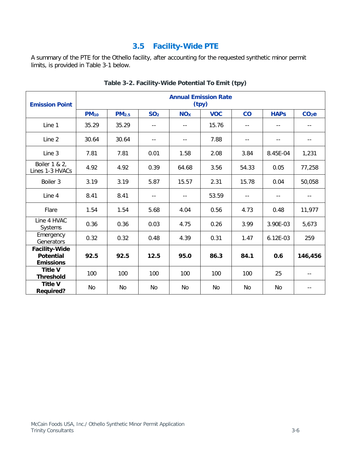# **3.5 Facility-Wide PTE**

<span id="page-9-1"></span><span id="page-9-0"></span>A summary of the PTE for the Othello facility, after accounting for the requested synthetic minor permit limits, is provided in [Table 3-1](#page-9-1) below.

| <b>Emission Point</b>                                        |                         |                   |                            |            | <b>Annual Emission Rate</b><br>(tpy) |       |                            |                   |
|--------------------------------------------------------------|-------------------------|-------------------|----------------------------|------------|--------------------------------------|-------|----------------------------|-------------------|
|                                                              | <b>PM</b> <sub>10</sub> | PM <sub>2.5</sub> | SO <sub>2</sub>            | <b>NOx</b> | <b>VOC</b>                           | co    | <b>HAPs</b>                | CO <sub>2</sub> e |
| Line 1                                                       | 35.29                   | 35.29             |                            |            | 15.76                                | $-$   |                            |                   |
| Line 2                                                       | 30.64                   | 30.64             | $\overline{\phantom{a}}$ . | $ -$       | 7.88                                 | --    | $\overline{\phantom{a}}$ . | --                |
| Line 3                                                       | 7.81                    | 7.81              | 0.01                       | 1.58       | 2.08                                 | 3.84  | 8.45E-04                   | 1,231             |
| Boiler 1 & 2,<br>Lines 1-3 HVACs                             | 4.92                    | 4.92              | 0.39                       | 64.68      | 3.56                                 | 54.33 | 0.05                       | 77,258            |
| Boiler 3                                                     | 3.19                    | 3.19              | 5.87                       | 15.57      | 2.31                                 | 15.78 | 0.04                       | 50,058            |
| Line 4                                                       | 8.41                    | 8.41              | $- -$                      |            | 53.59                                | $-$   | $-$                        |                   |
| Flare                                                        | 1.54                    | 1.54              | 5.68                       | 4.04       | 0.56                                 | 4.73  | 0.48                       | 11,977            |
| Line 4 HVAC<br>Systems                                       | 0.36                    | 0.36              | 0.03                       | 4.75       | 0.26                                 | 3.99  | 3.90E-03                   | 5,673             |
| Emergency<br>Generators                                      | 0.32                    | 0.32              | 0.48                       | 4.39       | 0.31                                 | 1.47  | 6.12E-03                   | 259               |
| <b>Facility-Wide</b><br><b>Potential</b><br><b>Emissions</b> | 92.5                    | 92.5              | 12.5                       | 95.0       | 86.3                                 | 84.1  | 0.6                        | 146,456           |
| <b>Title V</b><br><b>Threshold</b>                           | 100                     | 100               | 100                        | 100        | 100                                  | 100   | 25                         |                   |
| <b>Title V</b><br><b>Required?</b>                           | No                      | <b>No</b>         | No                         | No         | No                                   | No    | No.                        |                   |

**Table 3-2. Facility-Wide Potential To Emit (tpy)**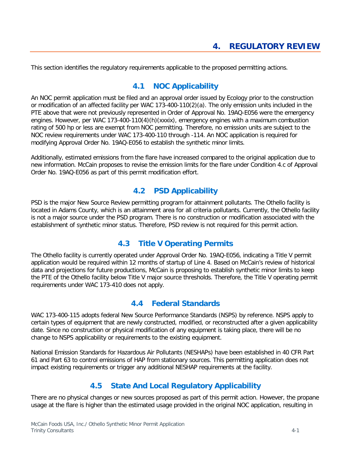<span id="page-10-1"></span><span id="page-10-0"></span>This section identifies the regulatory requirements applicable to the proposed permitting actions.

## **4.1 NOC Applicability**

An NOC permit application must be filed and an approval order issued by Ecology prior to the construction or modification of an affected facility per WAC 173-400-110(2)(a). The only emission units included in the PTE above that were not previously represented in Order of Approval No. 19AQ-E056 were the emergency engines. However, per WAC 173-400-110(4)(h)(xxxix), emergency engines with a maximum combustion rating of 500 hp or less are exempt from NOC permitting. Therefore, no emission units are subject to the NOC review requirements under WAC 173-400-110 through -114. An NOC application is required for modifying Approval Order No. 19AQ-E056 to establish the synthetic minor limits.

<span id="page-10-2"></span>Additionally, estimated emissions from the flare have increased compared to the original application due to new information. McCain proposes to revise the emission limits for the flare under Condition 4.c of Approval Order No. 19AQ-E056 as part of this permit modification effort.

## **4.2 PSD Applicability**

PSD is the major New Source Review permitting program for attainment pollutants. The Othello facility is located in Adams County, which is an attainment area for all criteria pollutants. Currently, the Othello facility is not a major source under the PSD program. There is no construction or modification associated with the establishment of synthetic minor status. Therefore, PSD review is not required for this permit action.

# **4.3 Title V Operating Permits**

<span id="page-10-3"></span>The Othello facility is currently operated under Approval Order No. 19AQ-E056, indicating a Title V permit application would be required within 12 months of startup of Line 4. Based on McCain's review of historical data and projections for future productions, McCain is proposing to establish synthetic minor limits to keep the PTE of the Othello facility below Title V major source thresholds. Therefore, the Title V operating permit requirements under WAC 173-410 does not apply.

## **4.4 Federal Standards**

<span id="page-10-4"></span>WAC 173-400-115 adopts federal New Source Performance Standards (NSPS) by reference. NSPS apply to certain types of equipment that are newly constructed, modified, or reconstructed after a given applicability date. Since no construction or physical modification of any equipment is taking place, there will be no change to NSPS applicability or requirements to the existing equipment.

<span id="page-10-5"></span>National Emission Standards for Hazardous Air Pollutants (NESHAPs) have been established in 40 CFR Part 61 and Part 63 to control emissions of HAP from stationary sources. This permitting application does not impact existing requirements or trigger any additional NESHAP requirements at the facility.

# **4.5 State And Local Regulatory Applicability**

There are no physical changes or new sources proposed as part of this permit action. However, the propane usage at the flare is higher than the estimated usage provided in the original NOC application, resulting in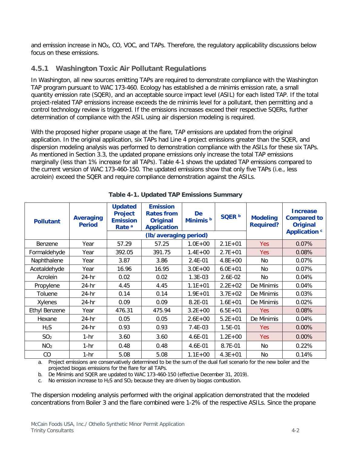and emission increase in NO<sub>X</sub>, CO, VOC, and TAPs. Therefore, the regulatory applicability discussions below focus on these emissions.

## **4.5.1 Washington Toxic Air Pollutant Regulations**

In Washington, all new sources emitting TAPs are required to demonstrate compliance with the Washington TAP program pursuant to WAC 173-460. Ecology has established a de minimis emission rate, a small quantity emission rate (SQER), and an acceptable source impact level (ASIL) for each listed TAP. If the total project-related TAP emissions increase exceeds the de minimis level for a pollutant, then permitting and a control technology review is triggered. If the emissions increases exceed their respective SQERs, further determination of compliance with the ASIL using air dispersion modeling is required.

With the proposed higher propane usage at the flare, TAP emissions are updated from the original application. In the original application, six TAPs had Line 4 project emissions greater than the SQER, and dispersion modeling analysis was performed to demonstration compliance with the ASILs for these six TAPs. As mentioned in Section [3.3,](#page-6-1) the updated propane emissions only increase the total TAP emissions marginally (less than 1% increase for all TAPs). [Table 4-1](#page-11-0) shows the updated TAP emissions compared to the current version of WAC 173-460-150. The updated emissions show that only five TAPs (i.e., less acrolein) exceed the SQER and require compliance demonstration against the ASILs.

<span id="page-11-0"></span>

| <b>Pollutant</b>     | <b>Averaging</b><br><b>Period</b> | <b>Updated</b><br><b>Project</b><br><b>Emission</b><br>Rate <sup>a</sup> | <b>Emission</b><br><b>Rates from</b><br><b>Original</b><br><b>Application</b> | <b>De</b><br>Minimis <sup>b</sup> | SQER <sup>b</sup> | <b>Modeling</b><br><b>Required?</b> | <b>Increase</b><br><b>Compared to</b><br><b>Original</b><br><b>Application c</b> |
|----------------------|-----------------------------------|--------------------------------------------------------------------------|-------------------------------------------------------------------------------|-----------------------------------|-------------------|-------------------------------------|----------------------------------------------------------------------------------|
|                      |                                   |                                                                          | (lb/averaging period)                                                         |                                   |                   |                                     |                                                                                  |
| Benzene              | Year                              | 57.29                                                                    | 57.25                                                                         | $1.0E + 00$                       | $2.1E + 01$       | Yes.                                | 0.07%                                                                            |
| Formaldehyde         | Year                              | 392.05                                                                   | 391.75                                                                        | $1.4E + 00$                       | $2.7E + 01$       | <b>Yes</b>                          | 0.08%                                                                            |
| Naphthalene          | Year                              | 3.87                                                                     | 3.86                                                                          | $2.4E - 01$                       | $4.8E + 00$       | No.                                 | 0.07%                                                                            |
| Acetaldehyde         | Year                              | 16.96                                                                    | 16.95                                                                         | $3.0E + 00$                       | $6.0E + 01$       | N <sub>o</sub>                      | 0.07%                                                                            |
| Acrolein             | $24-hr$                           | 0.02                                                                     | 0.02                                                                          | $1.3E-03$                         | $2.6E-02$         | No.                                 | 0.04%                                                                            |
| Propylene            | $24-hr$                           | 4.45                                                                     | 4.45                                                                          | $1.1E + 01$                       | $2.2E + 02$       | De Minimis                          | 0.04%                                                                            |
| Toluene              | $24-hr$                           | 0.14                                                                     | 0.14                                                                          | $1.9E + 01$                       | $3.7E + 02$       | De Minimis                          | 0.03%                                                                            |
| Xylenes              | 24-hr                             | 0.09                                                                     | 0.09                                                                          | 8.2E-01                           | $1.6E + 01$       | De Minimis                          | 0.02%                                                                            |
| <b>Ethyl Benzene</b> | Year                              | 476.31                                                                   | 475.94                                                                        | $3.2E + 00$                       | $6.5E + 01$       | <b>Yes</b>                          | 0.08%                                                                            |
| Hexane               | 24-hr                             | 0.05                                                                     | 0.05                                                                          | $2.6E + 00$                       | $5.2E + 01$       | De Minimis                          | 0.04%                                                                            |
| H <sub>2</sub> S     | 24-hr                             | 0.93                                                                     | 0.93                                                                          | 7.4E-03                           | 1.5E-01           | Yes.                                | $0.00\%$                                                                         |
| SO <sub>2</sub>      | $1-hr$                            | 3.60                                                                     | 3.60                                                                          | 4.6E-01                           | $1.2E + 00$       | Yes.                                | $0.00\%$                                                                         |
| NO <sub>2</sub>      | $1-hr$                            | 0.48                                                                     | 0.48                                                                          | 4.6E-01                           | 8.7E-01           | No.                                 | 0.22%                                                                            |
| CO                   | $1-hr$                            | 5.08                                                                     | 5.08                                                                          | $1.1E + 00$                       | $4.3E + 01$       | No                                  | 0.14%                                                                            |

### **Table 4-1. Updated TAP Emissions Summary**

a. Project emissions are conservatively determined to be the sum of the dual fuel scenario for the new boiler and the projected biogas emissions for the flare for all TAPs.

b. De Minimis and SQER are updated to WAC 173-460-150 (effective December 31, 2019).

c. No emission increase to  $H_2S$  and  $SO_2$  because they are driven by biogas combustion.

The dispersion modeling analysis performed with the original application demonstrated that the modeled concentrations from Boiler 3 and the flare combined were 1-2% of the respective ASILs. Since the propane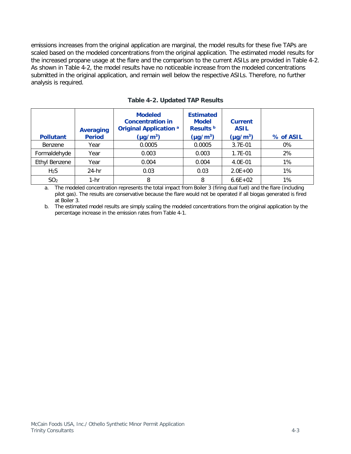emissions increases from the original application are marginal, the model results for these five TAPs are scaled based on the modeled concentrations from the original application. The estimated model results for the increased propane usage at the flare and the comparison to the current ASILs are provided in [Table 4-2.](#page-12-0) As shown in [Table 4-2,](#page-12-0) the model results have no noticeable increase from the modeled concentrations submitted in the original application, and remain well below the respective ASILs. Therefore, no further analysis is required.

<span id="page-12-0"></span>

| <b>Pollutant</b> | <b>Averaging</b><br><b>Period</b> | <b>Modeled</b><br><b>Concentration in</b><br><b>Original Application a</b><br>$(\mu q/m^3)$ | <b>Estimated</b><br><b>Model</b><br>Results <sup>b</sup><br>$(\mu g/m^3)$ | <b>Current</b><br><b>ASIL</b><br>$(\mu q/m^3)$ | % of ASIL |
|------------------|-----------------------------------|---------------------------------------------------------------------------------------------|---------------------------------------------------------------------------|------------------------------------------------|-----------|
|                  |                                   |                                                                                             |                                                                           |                                                |           |
| Benzene          | Year                              | 0.0005                                                                                      | 0.0005                                                                    | 3.7E-01                                        | 0%        |
| Formaldehyde     | Year                              | 0.003                                                                                       | 0.003                                                                     | 1.7E-01                                        | 2%        |
| Ethyl Benzene    | Year                              | 0.004                                                                                       | 0.004                                                                     | 4.0E-01                                        | 1%        |
| H <sub>2</sub> S | 24-hr                             | 0.03                                                                                        | 0.03                                                                      | $2.0E + 00$                                    | 1%        |
| SO <sub>2</sub>  | $1-hr$                            | 8                                                                                           | 8                                                                         | $6.6E + 02$                                    | 1%        |

**Table 4-2. Updated TAP Results**

a. The modeled concentration represents the total impact from Boiler 3 (firing dual fuel) and the flare (including pilot gas). The results are conservative because the flare would not be operated if all biogas generated is fired at Boiler 3.

b. The estimated model results are simply scaling the modeled concentrations from the original application by the percentage increase in the emission rates from Table 4-1.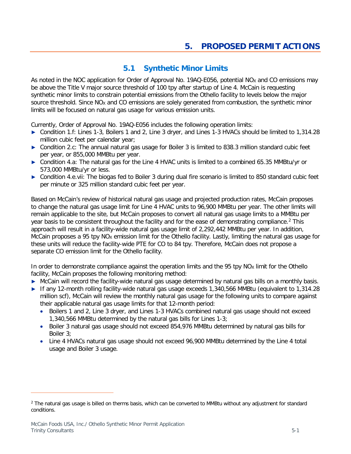# **5.1 Synthetic Minor Limits**

<span id="page-13-1"></span><span id="page-13-0"></span>As noted in the NOC application for Order of Approval No. 19AQ-E056, potential NO<sub>X</sub> and CO emissions may be above the Title V major source threshold of 100 tpy after startup of Line 4. McCain is requesting synthetic minor limits to constrain potential emissions from the Othello facility to levels below the major source threshold. Since  $NO<sub>X</sub>$  and CO emissions are solely generated from combustion, the synthetic minor limits will be focused on natural gas usage for various emission units.

Currently, Order of Approval No. 19AQ-E056 includes the following operation limits:

- **►** Condition 1.f: Lines 1-3, Boilers 1 and 2, Line 3 dryer, and Lines 1-3 HVACs should be limited to 1,314.28 million cubic feet per calendar year;
- **►** Condition 2.c: The annual natural gas usage for Boiler 3 is limited to 838.3 million standard cubic feet per year, or 855,000 MMBtu per year.
- **►** Condition 4.a: The natural gas for the Line 4 HVAC units is limited to a combined 65.35 MMBtu/yr or 573,000 MMBtu/yr or less.
- **►** Condition 4.e.vii: The biogas fed to Boiler 3 during dual fire scenario is limited to 850 standard cubic feet per minute or 325 million standard cubic feet per year.

Based on McCain's review of historical natural gas usage and projected production rates, McCain proposes to change the natural gas usage limit for Line 4 HVAC units to 96,900 MMBtu per year. The other limits will remain applicable to the site, but McCain proposes to convert all natural gas usage limits to a MMBtu per year basis to be consistent throughout the facility and for the ease of demonstrating compliance.<sup>2</sup> This approach will result in a facility-wide natural gas usage limit of 2,292,442 MMBtu per year. In addition, McCain proposes a 95 tpy  $NO<sub>X</sub>$  emission limit for the Othello facility. Lastly, limiting the natural gas usage for these units will reduce the facility-wide PTE for CO to 84 tpy. Therefore, McCain does not propose a separate CO emission limit for the Othello facility.

In order to demonstrate compliance against the operation limits and the 95 tpy  $NO<sub>x</sub>$  limit for the Othello facility, McCain proposes the following monitoring method:

- **►** McCain will record the facility-wide natural gas usage determined by natural gas bills on a monthly basis.
- **►** If any 12-month rolling facility-wide natural gas usage exceeds 1,340,566 MMBtu (equivalent to 1,314.28 million scf), McCain will review the monthly natural gas usage for the following units to compare against their applicable natural gas usage limits for that 12-month period:
	- Boilers 1 and 2, Line 3 dryer, and Lines 1-3 HVACs combined natural gas usage should not exceed 1,340,566 MMBtu determined by the natural gas bills for Lines 1-3;
	- Boiler 3 natural gas usage should not exceed 854,976 MMBtu determined by natural gas bills for Boiler 3;
	- Line 4 HVACs natural gas usage should not exceed 96,900 MMBtu determined by the Line 4 total usage and Boiler 3 usage.

<span id="page-13-2"></span><sup>&</sup>lt;sup>2</sup> The natural gas usage is billed on therms basis, which can be converted to MMBtu without any adjustment for standard conditions.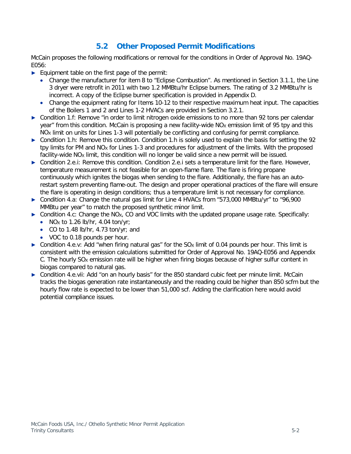# **5.2 Other Proposed Permit Modifications**

<span id="page-14-0"></span>McCain proposes the following modifications or removal for the conditions in Order of Approval No. 19AQ-E056:

- **►** Equipment table on the first page of the permit:
	- Change the manufacturer for item 8 to "Eclipse Combustion". As mentioned in Section [3.1.1,](#page-4-2) the Line 3 dryer were retrofit in 2011 with two 1.2 MMBtu/hr Eclipse burners. The rating of 3.2 MMBtu/hr is incorrect. A copy of the Eclipse burner specification is provided in Appendix D.
	- Change the equipment rating for Items 10-12 to their respective maximum heat input. The capacities of the Boilers 1 and 2 and Lines 1-2 HVACs are provided in Section [3.2.1.](#page-5-2)
- **►** Condition 1.f: Remove "in order to limit nitrogen oxide emissions to no more than 92 tons per calendar year" from this condition. McCain is proposing a new facility-wide NO<sub>x</sub> emission limit of 95 tpy and this NO<sub>x</sub> limit on units for Lines 1-3 will potentially be conflicting and confusing for permit compliance.
- ► Condition 1.h: Remove this condition. Condition 1.h is solely used to explain the basis for setting the 92 tpy limits for PM and NO<sub>x</sub> for Lines 1-3 and procedures for adjustment of the limits. With the proposed facility-wide NO<sub>X</sub> limit, this condition will no longer be valid since a new permit will be issued.
- **►** Condition 2.e.i: Remove this condition. Condition 2.e.i sets a temperature limit for the flare. However, temperature measurement is not feasible for an open-flame flare. The flare is firing propane continuously which ignites the biogas when sending to the flare. Additionally, the flare has an autorestart system preventing flame-out. The design and proper operational practices of the flare will ensure the flare is operating in design conditions; thus a temperature limit is not necessary for compliance.
- **►** Condition 4.a: Change the natural gas limit for Line 4 HVACs from "573,000 MMBtu/yr" to "96,900 MMBtu per year" to match the proposed synthetic minor limit.
- **►** Condition 4.c: Change the NOX, CO and VOC limits with the updated propane usage rate. Specifically:
	- NOx to 1.26 lb/hr, 4.04 ton/yr;
	- CO to 1.48 lb/hr, 4.73 ton/yr; and
	- VOC to 0.18 pounds per hour.
- $\triangleright$  Condition 4.e.v: Add "when firing natural gas" for the SO<sub>X</sub> limit of 0.04 pounds per hour. This limit is consistent with the emission calculations submitted for Order of Approval No. 19AQ-E056 and Appendix C. The hourly SO<sub>x</sub> emission rate will be higher when firing biogas because of higher sulfur content in biogas compared to natural gas.
- ► Condition 4.e.vii: Add "on an hourly basis" for the 850 standard cubic feet per minute limit. McCain tracks the biogas generation rate instantaneously and the reading could be higher than 850 scfm but the hourly flow rate is expected to be lower than 51,000 scf. Adding the clarification here would avoid potential compliance issues.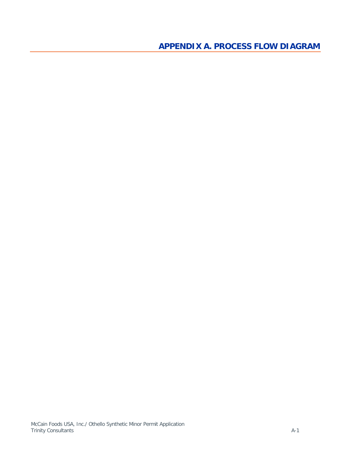<span id="page-15-0"></span>**APPENDIX A. PROCESS FLOW DIAGRAM**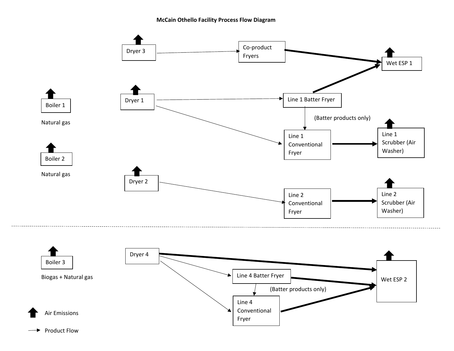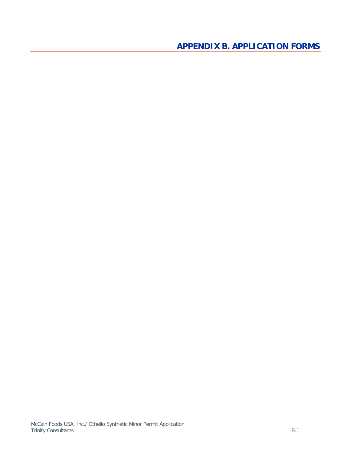<span id="page-17-0"></span>**APPENDIX B. APPLICATION FORMS**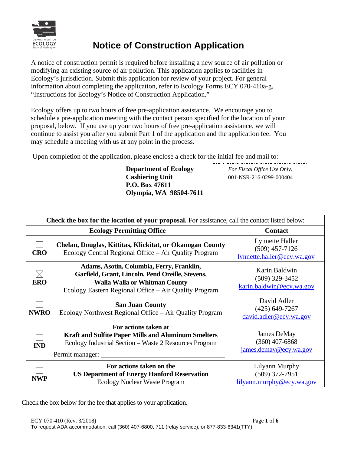

# **Notice of Construction Application**

A notice of construction permit is required before installing a new source of air pollution or modifying an existing source of air pollution. This application applies to facilities in Ecology's jurisdiction. Submit this application for review of your project. For general information about completing the application, refer to Ecology Forms ECY 070-410a-g, "Instructions for Ecology's Notice of Construction Application."

Ecology offers up to two hours of free pre-application assistance. We encourage you to schedule a pre-application meeting with the contact person specified for the location of your proposal, below. If you use up your two hours of free pre-application assistance, we will continue to assist you after you submit Part 1 of the application and the application fee. You may schedule a meeting with us at any point in the process.

Upon completion of the application, please enclose a check for the initial fee and mail to:

**Department of Ecology Cashiering Unit P.O. Box 47611 Olympia, WA 98504-7611** *For Fiscal Office Use Only:* 001-NSR-216-0299-000404

| Check the box for the location of your proposal. For assistance, call the contact listed below: |                                                                                                                                                                                         |                                                                   |  |  |  |
|-------------------------------------------------------------------------------------------------|-----------------------------------------------------------------------------------------------------------------------------------------------------------------------------------------|-------------------------------------------------------------------|--|--|--|
|                                                                                                 | <b>Ecology Permitting Office</b>                                                                                                                                                        | <b>Contact</b>                                                    |  |  |  |
| <b>CRO</b>                                                                                      | Chelan, Douglas, Kittitas, Klickitat, or Okanogan County<br>Ecology Central Regional Office – Air Quality Program                                                                       | Lynnette Haller<br>$(509)$ 457-7126<br>lynnette.haller@ecy.wa.gov |  |  |  |
| $\bowtie$<br><b>ERO</b>                                                                         | Adams, Asotin, Columbia, Ferry, Franklin,<br>Garfield, Grant, Lincoln, Pend Oreille, Stevens,<br>Walla Walla or Whitman County<br>Ecology Eastern Regional Office - Air Quality Program | Karin Baldwin<br>$(509)$ 329-3452<br>karin.baldwin@ecy.wa.gov     |  |  |  |
| <b>NWRO</b>                                                                                     | <b>San Juan County</b><br>Ecology Northwest Regional Office – Air Quality Program                                                                                                       | David Adler<br>$(425)$ 649-7267<br>david.adler@ecy.wa.gov         |  |  |  |
| <b>IND</b>                                                                                      | For actions taken at<br><b>Kraft and Sulfite Paper Mills and Aluminum Smelters</b><br>Ecology Industrial Section - Waste 2 Resources Program<br>Permit manager: __                      | James DeMay<br>$(360)$ 407-6868<br>james.demay@ecy.wa.gov         |  |  |  |
| <b>NWP</b>                                                                                      | For actions taken on the<br><b>US Department of Energy Hanford Reservation</b><br>Ecology Nuclear Waste Program                                                                         | Lilyann Murphy<br>$(509)$ 372-7951<br>lilyann.murphy@ecy.wa.gov   |  |  |  |

Check the box below for the fee that applies to your application.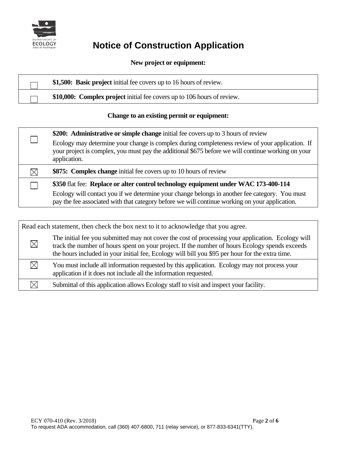

# **ECOLOGY Notice of Construction Application**

### **New project or equipment:**

| \$1,500: Basic project initial fee covers up to 16 hours of review.     |
|-------------------------------------------------------------------------|
| \$10,000: Complex project initial fee covers up to 106 hours of review. |
|                                                                         |

## **Change to an existing permit or equipment:**

| \$200: Administrative or simple change initial fee covers up to 3 hours of review                                                                                                                                     |
|-----------------------------------------------------------------------------------------------------------------------------------------------------------------------------------------------------------------------|
| Ecology may determine your change is complex during completeness review of your application. If<br>your project is complex, you must pay the additional \$675 before we will continue working on your<br>application. |
| \$875: Complex change initial fee covers up to 10 hours of review                                                                                                                                                     |
| \$350 flat fee: Replace or alter control technology equipment under WAC 173-400-114                                                                                                                                   |
| Ecology will contact you if we determine your change belongs in another fee category. You must<br>pay the fee associated with that category before we will continue working on your application.                      |

| Read each statement, then check the box next to it to acknowledge that you agree. |                                                                                                                                                                                                                                                                                                        |  |
|-----------------------------------------------------------------------------------|--------------------------------------------------------------------------------------------------------------------------------------------------------------------------------------------------------------------------------------------------------------------------------------------------------|--|
| $\boxtimes$                                                                       | The initial fee you submitted may not cover the cost of processing your application. Ecology will<br>track the number of hours spent on your project. If the number of hours Ecology spends exceeds<br>the hours included in your initial fee, Ecology will bill you \$95 per hour for the extra time. |  |
| $\bowtie$                                                                         | You must include all information requested by this application. Ecology may not process your<br>application if it does not include all the information requested.                                                                                                                                      |  |
|                                                                                   | Submittal of this application allows Ecology staff to visit and inspect your facility.                                                                                                                                                                                                                 |  |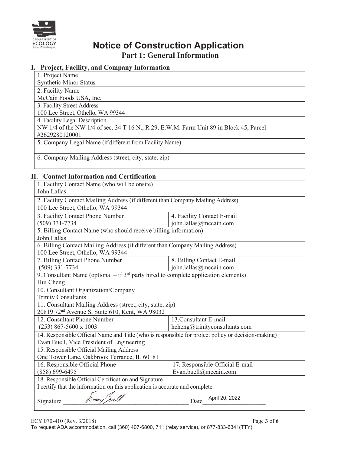

# **ECOLOGY Notice of Construction Application Part 1: General Information**

### **I. Project, Facility, and Company Information**

| 1. Project Name                                                                        |
|----------------------------------------------------------------------------------------|
| <b>Synthetic Minor Status</b>                                                          |
| 2. Facility Name                                                                       |
| McCain Foods USA, Inc.                                                                 |
| 3. Facility Street Address                                                             |
| 100 Lee Street, Othello, WA 99344                                                      |
| 4. Facility Legal Description                                                          |
| NW 1/4 of the NW 1/4 of sec. 34 T 16 N., R 29, E.W.M. Farm Unit 89 in Block 45, Parcel |
| #2629280120001                                                                         |
| 5. Company Legal Name (if different from Facility Name)                                |
|                                                                                        |
| 6. Company Mailing Address (street, city, state, zip)                                  |
|                                                                                        |

### **II. Contact Information and Certification**

| 1. Facility Contact Name (who will be onsite)<br>John Lallas                                                         |                               |  |  |  |  |
|----------------------------------------------------------------------------------------------------------------------|-------------------------------|--|--|--|--|
| 2. Facility Contact Mailing Address (if different than Company Mailing Address)<br>100 Lee Street, Othello, WA 99344 |                               |  |  |  |  |
| 3. Facility Contact Phone Number                                                                                     | 4. Facility Contact E-mail    |  |  |  |  |
| $(509)$ 331-7734                                                                                                     | john.lallas@mccain.com        |  |  |  |  |
| 5. Billing Contact Name (who should receive billing information)                                                     |                               |  |  |  |  |
| John Lallas                                                                                                          |                               |  |  |  |  |
| 6. Billing Contact Mailing Address (if different than Company Mailing Address)                                       |                               |  |  |  |  |
| 100 Lee Street, Othello, WA 99344<br>7. Billing Contact Phone Number                                                 | 8. Billing Contact E-mail     |  |  |  |  |
| $(509)$ 331-7734                                                                                                     | john.lallas@mccain.com        |  |  |  |  |
| 9. Consultant Name (optional – if $3^{rd}$ party hired to complete application elements)                             |                               |  |  |  |  |
| Hui Cheng                                                                                                            |                               |  |  |  |  |
| 10. Consultant Organization/Company                                                                                  |                               |  |  |  |  |
| <b>Trinity Consultants</b>                                                                                           |                               |  |  |  |  |
| 11. Consultant Mailing Address (street, city, state, zip)                                                            |                               |  |  |  |  |
| 20819 72 <sup>nd</sup> Avenue S, Suite 610, Kent, WA 98032                                                           |                               |  |  |  |  |
| 12. Consultant Phone Number                                                                                          | 13. Consultant E-mail         |  |  |  |  |
| $(253)$ 867-5600 x 1003                                                                                              | hcheng@trinityconsultants.com |  |  |  |  |
| 14. Responsible Official Name and Title (who is responsible for project policy or decision-making)                   |                               |  |  |  |  |
| Evan Buell, Vice President of Engineering                                                                            |                               |  |  |  |  |
| 15. Responsible Official Mailing Address                                                                             |                               |  |  |  |  |
| One Tower Lane, Oakbrook Terrance, IL 60181                                                                          |                               |  |  |  |  |
| 16. Responsible Official Phone<br>17. Responsible Official E-mail                                                    |                               |  |  |  |  |
| Evan.buell@mccain.com<br>$(858) 699 - 6495$                                                                          |                               |  |  |  |  |
| 18. Responsible Official Certification and Signature                                                                 |                               |  |  |  |  |
| I certify that the information on this application is accurate and complete.                                         |                               |  |  |  |  |
| April 20, 2022<br>Signature<br>Date                                                                                  |                               |  |  |  |  |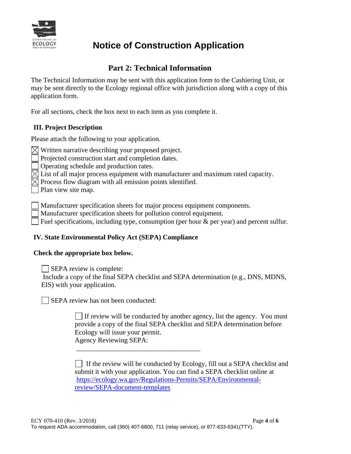

# **Notice of Construction Application**

# **Part 2: Technical Information**

The Technical Information may be sent with this application form to the Cashiering Unit, or may be sent directly to the Ecology regional office with jurisdiction along with a copy of this application form.

For all sections, check the box next to each item as you complete it.

### **III. Project Description**

Please attach the following to your application.

 $\boxtimes$  Written narrative describing your proposed project.

Projected construction start and completion dates.

Operating schedule and production rates.

 $\boxtimes$  List of all major process equipment with manufacturer and maximum rated capacity.

 $\boxtimes$  Process flow diagram with all emission points identified.

Plan view site map.

Manufacturer specification sheets for major process equipment components.

Manufacturer specification sheets for pollution control equipment.

Fuel specifications, including type, consumption (per hour  $\&$  per year) and percent sulfur.

### **IV. State Environmental Policy Act (SEPA) Compliance**

### **Check the appropriate box below.**

SEPA review is complete:

 Include a copy of the final SEPA checklist and SEPA determination (e.g., DNS, MDNS, EIS) with your application.

SEPA review has not been conducted:

 $\Box$  If review will be conducted by another agency, list the agency. You must provide a copy of the final SEPA checklist and SEPA determination before Ecology will issue your permit. Agency Reviewing SEPA:

I If the review will be conducted by Ecology, fill out a SEPA checklist and submit it with your application. You can find a SEPA checklist online at [https://ecology.wa.gov/Regulations-Permits/SEPA/Environmental](https://ecology.wa.gov/Regulations-Permits/SEPA/Environmental-review/SEPA-document-templates)[review/SEPA-document-templates](https://ecology.wa.gov/Regulations-Permits/SEPA/Environmental-review/SEPA-document-templates)

\_\_\_\_\_\_\_\_\_\_\_\_\_\_\_\_\_\_\_\_\_\_\_\_\_\_\_\_\_\_\_\_\_\_\_\_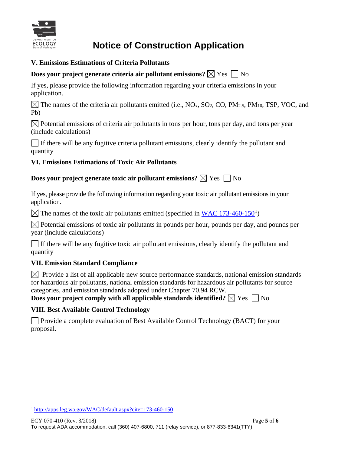

# ECOLOGY **Notice of Construction Application**

## **V. Emissions Estimations of Criteria Pollutants**

# **Does your project generate criteria air pollutant emissions?**  $\boxtimes$  Yes  $\Box$  No

If yes, please provide the following information regarding your criteria emissions in your application.

 $\boxtimes$  The names of the criteria air pollutants emitted (i.e., NO<sub>x</sub>, SO<sub>2</sub>, CO, PM<sub>2.5</sub>, PM<sub>10</sub>, TSP, VOC, and Pb)

 $\boxtimes$  Potential emissions of criteria air pollutants in tons per hour, tons per day, and tons per year (include calculations)

 $\Box$  If there will be any fugitive criteria pollutant emissions, clearly identify the pollutant and quantity

## **VI. Emissions Estimations of Toxic Air Pollutants**

## **Does your project generate toxic air pollutant emissions?**  $\boxtimes$  Yes  $\Box$  No

If yes, please provide the following information regarding your toxic air pollutant emissions in your application.

The names of the toxic air pollutants emitted (specified in  $\underline{WAC}$  [1](#page-22-0)73-460-150<sup>1</sup>)

 $\boxtimes$  Potential emissions of toxic air pollutants in pounds per hour, pounds per day, and pounds per year (include calculations)

If there will be any fugitive toxic air pollutant emissions, clearly identify the pollutant and quantity

## **VII. Emission Standard Compliance**

 $\boxtimes$  Provide a list of all applicable new source performance standards, national emission standards for hazardous air pollutants, national emission standards for hazardous air pollutants for source categories, and emission standards adopted under Chapter 70.94 RCW.

**Does your project comply with all applicable standards identified?**  $\boxtimes$  Yes  $\Box$  No

## **VIII. Best Available Control Technology**

 Provide a complete evaluation of Best Available Control Technology (BACT) for your proposal.

<span id="page-22-0"></span><sup>1</sup> <http://apps.leg.wa.gov/WAC/default.aspx?cite=173-460-150>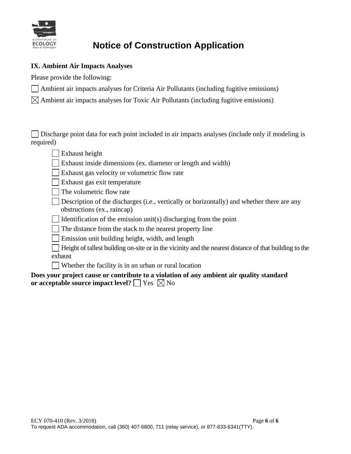

# **Notice of Construction Application**

### **IX. Ambient Air Impacts Analyses**

Please provide the following:

- Ambient air impacts analyses for Criteria Air Pollutants (including fugitive emissions)
- $\boxtimes$  Ambient air impacts analyses for Toxic Air Pollutants (including fugitive emissions)

 $\Box$  Discharge point data for each point included in air impacts analyses (include only if modeling is required)

- Exhaust height
- Exhaust inside dimensions (ex. diameter or length and width)
- Exhaust gas velocity or volumetric flow rate
- Exhaust gas exit temperature
- $\parallel$  The volumetric flow rate
- Description of the discharges (i.e., vertically or horizontally) and whether there are any obstructions (ex., raincap)
- Identification of the emission unit(s) discharging from the point
- The distance from the stack to the nearest property line
- **Emission unit building height, width, and length**
- Height of tallest building on-site or in the vicinity and the nearest distance of that building to the exhaust
- Whether the facility is in an urban or rural location

### **Does your project cause or contribute to a violation of any ambient air quality standard or acceptable source impact level?**  $\Box$  Yes  $\boxtimes$  No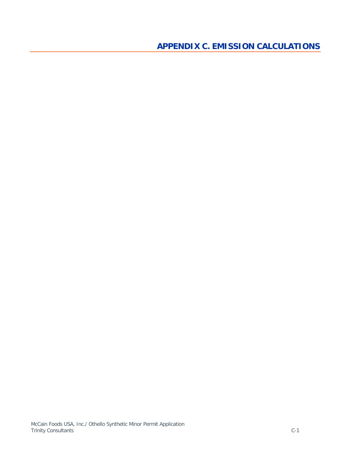<span id="page-24-0"></span>**APPENDIX C. EMISSION CALCULATIONS**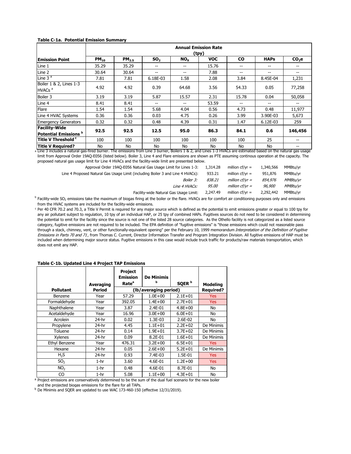| <b>Table C-1a. Potential Emission Summary</b> |  |
|-----------------------------------------------|--|
|-----------------------------------------------|--|

|                                                                                                                                                                                             | <b>Annual Emission Rate</b><br>(tpy) |            |                 |                 |            |           |             |         |
|---------------------------------------------------------------------------------------------------------------------------------------------------------------------------------------------|--------------------------------------|------------|-----------------|-----------------|------------|-----------|-------------|---------|
| <b>Emission Point</b>                                                                                                                                                                       | $PM_{10}$                            | $PM_{2.5}$ | SO <sub>2</sub> | NO <sub>x</sub> | <b>VOC</b> | <b>CO</b> | <b>HAPs</b> | $CO2$ e |
| Line 1                                                                                                                                                                                      | 35.29                                | 35.29      | --              | --              | 15.76      | $- -$     | --          |         |
| Line 2                                                                                                                                                                                      | 30.64                                | 30.64      | --              | --              | 7.88       | --        | --          |         |
| Line 3 $a$                                                                                                                                                                                  | 7.81                                 | 7.81       | 6.18E-03        | 1.58            | 2.08       | 3.84      | 8.45E-04    | 1,231   |
| Boiler 1 & 2, Lines 1-3<br>HVACs <sup>a</sup>                                                                                                                                               | 4.92                                 | 4.92       | 0.39            | 64.68           | 3.56       | 54.33     | 0.05        | 77,258  |
| Boiler 3                                                                                                                                                                                    | 3.19                                 | 3.19       | 5.87            | 15.57           | 2.31       | 15.78     | 0.04        | 50,058  |
| Line 4                                                                                                                                                                                      | 8.41                                 | 8.41       | --              | --              | 53.59      | --        | --          |         |
| Flare                                                                                                                                                                                       | 1.54                                 | 1.54       | 5.68            | 4.04            | 0.56       | 4.73      | 0.48        | 11,977  |
| Line 4 HVAC Systems                                                                                                                                                                         | 0.36                                 | 0.36       | 0.03            | 4.75            | 0.26       | 3.99      | 3.90E-03    | 5,673   |
| <b>Emergency Generators</b>                                                                                                                                                                 | 0.32                                 | 0.32       | 0.48            | 4.39            | 0.31       | 1.47      | 6.12E-03    | 259     |
| <b>Facility-Wide</b><br>Potential Emissions <b>b</b>                                                                                                                                        | 92.5                                 | 92.5       | 12.5            | 95.0            | 86.3       | 84.1      | 0.6         | 146,456 |
| Title V Threshold c                                                                                                                                                                         | 100                                  | 100        | 100             | 100             | 100        | 100       | 25          | $- -$   |
| <b>Title V Required?</b><br>a Line 3 includes a natural gas-fired burner. The emissions from Line 3 burner, Boilers 1 & 2, and Lines 1-3 HVACs are estimated based on the natural gas usage | No                                   | No         | No              | No              | No         | No        | No          |         |

limit from Approval Order 19AQ-E056 (listed below). Boiler 3, Line 4 and Flare emissions are shown as PTE assuming continous operation at the capacity. The proposed natural gas usage limit for Line 4 HVACs and the facility-wide limit are presented below.

| Approval Order 19AQ-E056 Natural Gas Usage Limit for Lines 1-3:                | 1,314.28     | million $cf/vr =$ | 1,340,566     | MMBtu/vr        |
|--------------------------------------------------------------------------------|--------------|-------------------|---------------|-----------------|
| Line 4 Proposed Natural Gas Usage Limit (including Boiler 3 and Line 4 HVACs): | 933.21       | million $cf/vr =$ | 951.876       | MMBtu/vr        |
| <i>Boiler 3:</i>                                                               | 838.21       | million $cf/vr =$ | 854.976       | <i>MMBtu/vr</i> |
| Line 4 HVACs:                                                                  | <i>95.00</i> | million $cf/vr =$ | <i>96.900</i> | <i>MMBtu/vr</i> |
| Facility-wide Natural Gas Usage Limit:                                         | 2,247.49     | million $cf/vr =$ | 2,292,442     | MMBtu/vr        |

 $^{\rm b}$  Facility-wide SO<sub>2</sub> emissions take the maximum of biogas firing at the boiler or the flare. HVACs are for comfort air conditioning purposes only and emissions from the HVAC systems are included for the facility-wide emissions.

<sup>c</sup> Per 40 CFR 70.2 and 70.3, a Title V Permit is required for any major source which is defined as the potential to emit emissions greater or equal to 100 tpy for any air pollutant subject to regulation, 10 tpy of an individual HAP, or 25 tpy of combined HAPs. Fugitives sources do not need to be considered in determining the potential to emit for the facility since the source is not one of the listed 28 source categories. As the Othello facility is not categorized as a listed source category, fugitive emissions are not required to be included. The EPA definition of "fugitive emissions" is "those emissions which could not reasonable pass through a stack, chimney, vent, or other functionally-equivalent opening" per the February 10, 1999 memorandum Interpretation of the Definition of Fugitive Emissions in Parts 70 and 71, from Thomas C. Current, Director Information Transfer and Program Integration Division. All fugitive emissions of HAP must be included when determining major source status. Fugitive emissions in this case would include truck traffic for products/raw materials transportation, which does not emit any HAP.

|                  |                  | <b>Project</b><br><b>Emission</b> | <b>De Minimis</b><br>b |                   |                  |
|------------------|------------------|-----------------------------------|------------------------|-------------------|------------------|
|                  | <b>Averaging</b> | Rate <sup>a</sup>                 |                        | SQER <sup>b</sup> | <b>Modeling</b>  |
| <b>Pollutant</b> | <b>Period</b>    |                                   | (lb/averaging period)  |                   | <b>Required?</b> |
| Benzene          | Year             | 57.29                             | $1.0E + 00$            | $2.1E + 01$       | <b>Yes</b>       |
| Formaldehyde     | Year             | 392.05                            | $1.4E + 00$            | $2.7E + 01$       | <b>Yes</b>       |
| Naphthalene      | Year             | 3.87                              | 2.4E-01                | $4.8E + 00$       | No               |
| Acetaldehyde     | Year             | 16.96                             | $3.0E + 00$            | $6.0E + 01$       | No               |
| Acrolein         | 24-hr            | 0.02                              | 1.3E-03                | 2.6E-02           | No               |
| Propylene        | 24-hr            | 4.45                              | $1.1E + 01$            | $2.2E + 02$       | De Minimis       |
| Toluene          | 24-hr            | 0.14                              | $1.9E + 01$            | $3.7E + 02$       | De Minimis       |
| <b>Xylenes</b>   | $24-hr$          | 0.09                              | 8.2E-01                | $1.6E + 01$       | De Minimis       |
| Ethyl Benzene    | Year             | 476.31                            | $3.2E + 00$            | $6.5E + 01$       | <b>Yes</b>       |
| Hexane           | 24-hr            | 0.05                              | $2.6E + 00$            | $5.2E + 01$       | De Minimis       |
| $H_2S$           | 24-hr            | 0.93                              | 7.4E-03                | 1.5E-01           | <b>Yes</b>       |
| SO <sub>2</sub>  | $1-hr$           | 3.60                              | 4.6E-01                | $1.2E + 00$       | <b>Yes</b>       |
| NO <sub>2</sub>  | $1-hr$           | 0.48                              | 4.6E-01                | 8.7E-01           | No               |
| CO               | $1-hr$           | 5.08                              | $1.1E + 00$            | $4.3E + 01$       | No               |

#### **Table C-1b. Updated Line 4 Project TAP Emissions**

a Project emissions are conservatively determined to be the sum of the dual fuel scenario for the new boiler and the projected biogas emissions for the flare for all TAPs.

<sup>b</sup> De Minimis and SQER are updated to use WAC 173-460-150 (effective 12/31/2019).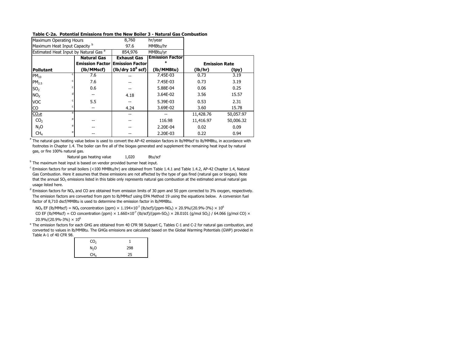#### **Table C-2a. Potential Emissions from the New Boiler 3 - Natural Gas Combustion**

| Maximum Operating Hours                          |                    | 8,760                                  | hr/year                |                      |           |
|--------------------------------------------------|--------------------|----------------------------------------|------------------------|----------------------|-----------|
| Maximum Heat Input Capacity b                    |                    | 97.6                                   | MMBtu/hr               |                      |           |
| Estimated Heat Input by Natural Gas <sup>a</sup> |                    | 854,976                                | MMBtu/vr               |                      |           |
|                                                  | <b>Natural Gas</b> | <b>Exhaust Gas</b>                     | <b>Emission Factor</b> |                      |           |
|                                                  |                    | <b>Emission Factor Emission Factor</b> |                        | <b>Emission Rate</b> |           |
| Pollutant                                        | (lb/MMscf)         | (lb/dry 10 <sup>6</sup> scf)           | (lb/MMBtu)             | (lb/hr)              | (tpy)     |
| $PM_{10}$                                        | 7.6                |                                        | 7.45E-03               | 0.73                 | 3.19      |
| PM <sub>2.5</sub>                                | 7.6                |                                        | 7.45E-03               | 0.73                 | 3.19      |
| SO <sub>2</sub>                                  | 0.6                |                                        | 5.88E-04               | 0.06                 | 0.25      |
| NO <sub>x</sub>                                  |                    | 4.18                                   | 3.64E-02               | 3.56                 | 15.57     |
| <b>VOC</b>                                       | 5.5                |                                        | 5.39E-03               | 0.53                 | 2.31      |
| CO                                               |                    | 4.24                                   | 3.69E-02               | 3.60                 | 15.78     |
| e<br>$CO2$ e                                     |                    |                                        |                        | 11,428.76            | 50,057.97 |
| e<br>CO <sub>2</sub>                             |                    |                                        | 116.98                 | 11,416.97            | 50,006.32 |
| e<br>N <sub>2</sub> O                            |                    |                                        | 2.20E-04               | 0.02                 | 0.09      |
| e<br>CH <sub>4</sub>                             |                    |                                        | 2.20E-03               | 0.22                 | 0.94      |

 $^{\rm a}$  The natural gas heating value below is used to convert the AP-42 emission factors in lb/MMscf to lb/MMBtu, in accordance with footnotes in Chapter 1.4. The boiler can fire all of the biogas generated and supplement the remaining heat input by natural gas, or fire 100% natural gas.

Natural gas heating value 1,020 Btu/scf

<sup>b</sup> The maximum heat input is based on vendor provided burner heat input.

<sup>c</sup> Emission factors for small boilers (<100 MMBtu/hr) are obtained from Table 1.4.1 and Table 1.4.2, AP-42 Chapter 1.4, Natural Gas Combustion. Here it assumes that these emissions are not affected by the type of gas fired (natural gas or biogas). Note that the annual SO<sub>2</sub> emissions listed in this table only represents natural gas combustion at the estimated annual natural gas usage listed here.

<sup>d</sup> Emission factors for NO<sub>X</sub> and CO are obtained from emission limits of 30 ppm and 50 ppm corrected to 3% oxygen, respectively. The emission factors are converted from ppm to lb/MMscf using EPA Method 19 using the equations below. A conversion fuel factor of 8,710 dscf/MMBtu is used to determine the emission factor in lb/MMBtu.

 $N_{\rm OX}$  EF (lb/MMscf) = NO<sub>x</sub> concentration (ppm) × 1.194×10<sup>-7</sup> (lb/scf)/(ppm-NO<sub>x</sub>) × 20.9%/(20.9%-3%) × 10<sup>6</sup>

CO EF (lb/MMscf) = CO concentration (ppm)  $\times 1.660\times10^{-7}$  (lb/scf)/(ppm-SO<sub>2</sub>)  $\times 28.0101$  (g/mol SO<sub>2</sub>) / 64.066 (g/mol CO)  $\times$  $20.9\%/20.9\% - 3\%) \times 10^6$ 

e The emission factors for each GHG are obtained from 40 CFR 98 Subpart C, Tables C-1 and C-2 for natural gas combustion, and converted to values in lb/MMBtu. The GHGs emissions are calculated based on the Global Warming Potentials (GWP) provided in Table A-1 of 40 CFR 98.

| CO <sub>2</sub>  |     |
|------------------|-----|
| N <sub>2</sub> O | 298 |
| CH <sub>4</sub>  | 25  |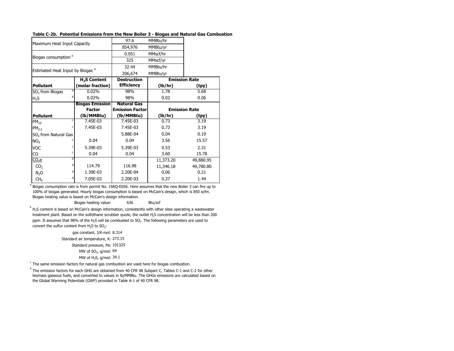#### **Table C-2b. Potential Emissions from the New Boiler 3 - Biogas and Natural Gas Combustion**

|                                             |                          | 97.6                   | MMBtu/hr  |                      |
|---------------------------------------------|--------------------------|------------------------|-----------|----------------------|
| Maximum Heat Input Capacity                 |                          | 854,976                | MMBtu/yr  |                      |
|                                             |                          | 0.051                  | MMscf/hr  |                      |
| Biogas consumption <sup>a</sup>             |                          | 325                    | MMscf/yr  |                      |
|                                             |                          | 32.44                  | MMBtu/hr  |                      |
| Estimated Heat Input by Biogas <sup>a</sup> |                          | 206,674                | MMBtu/yr  |                      |
|                                             | H <sub>2</sub> S Content | <b>Destruction</b>     |           | <b>Emission Rate</b> |
| <b>Pollutant</b>                            | (molar fraction)         | <b>Efficiency</b>      | (lb/hr)   | (tpy)                |
| SO <sub>2</sub> from Biogas                 | h<br>0.02%               | 98%                    | 1.78      | 5.68                 |
| $H_2S$                                      | b<br>0.02%               | 98%                    | 0.02      | 0.06                 |
|                                             | <b>Biogas Emission</b>   | <b>Natural Gas</b>     |           |                      |
|                                             | <b>Factor</b>            | <b>Emission Factor</b> |           | <b>Emission Rate</b> |
| <b>Pollutant</b>                            | (lb/MMBtu)               | (lb/MMBtu)             | (lb/hr)   | (tpy)                |
|                                             |                          |                        |           |                      |
| $PM_{10}$                                   | c<br>7.45E-03            | $7.45E-03$             | 0.73      | 3.19                 |
| PM <sub>2.5</sub>                           | 7.45E-03<br>c            | 7.45E-03               | 0.73      | 3.19                 |
| SO <sub>2</sub> from Natural Gas            |                          | 5.88E-04               | 0.04      | 0.19                 |
| NO <sub>x</sub>                             | 0.04                     | 0.04                   | 3.56      | 15.57                |
| <b>VOC</b>                                  | c<br>5.39E-03            | 5.39E-03               | 0.53      | 2.31                 |
| CO                                          | c<br>0.04                | 0.04                   | 3.60      | 15.78                |
| $CO2$ e                                     | d                        |                        | 11,373.20 | 49,880.95            |
| CO <sub>2</sub>                             | d<br>114.79              | 116.98                 | 11,346.18 | 49,780.80            |
| N <sub>2</sub> O                            | 1.39E-03<br>d            | 2.20E-04               | 0.06      | 0.21                 |

<sup>a</sup> Biogas consumption rate is from permit No. 19AQ-E056. Here assumes that the new Boiler 3 can fire up to 100% of biogas generated. Hourly biogas consumption is based on McCain's design, which is 850 scfm. Biogas heating value is based on McCain's design information.

Biogas heating value: 636 Btu/scf

 $^{\circ}$  H<sub>2</sub>S content is based on McCain's design information, consistently with other sites operating a wastewater treatment plant. Based on the sulfothane scrubber quote, the outlet H2S concentration will be less than 200 ppm. It assumes that 98% of the H<sub>2</sub>S will be combusted to SO<sub>2</sub>. The following parameters are used to convert the sulfur content from  $H_2S$  to  $SO_2$ :

> gas constant, J/K-mol: 8.314 Standard air temperature, K: 273.15 Standard pressure, Pa: 101325 MW of  $SO<sub>2</sub>$ , g/mol:  $64$ MW of  $H_2S$ , g/mol: 34.1

 $\textdegree$  The same emission factors for natural gas combustion are used here for biogas combustion.

<sup>d</sup> The emission factors for each GHG are obtained from 40 CFR 98 Subpart C, Tables C-1 and C-2 for other biomass gaseous fuels, and converted to values in lb/MMBtu. The GHGs emissions are calculated based on the Global Warming Potentials (GWP) provided in Table A-1 of 40 CFR 98.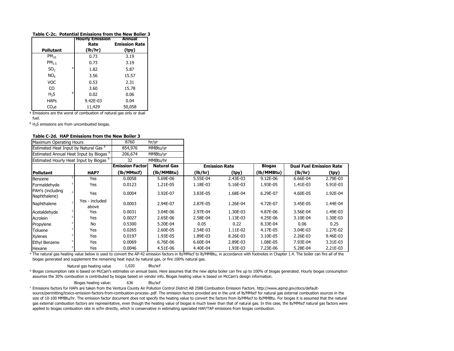#### **Table C-2c. Potential Emissions from the New Boiler 3**

|                   |   | <b>Hourly Emission</b> | Annual               |
|-------------------|---|------------------------|----------------------|
|                   |   | Rate                   | <b>Emission Rate</b> |
| <b>Pollutant</b>  |   | (lb/hr)                | (tpy)                |
| $PM_{10}$         |   | 0.73                   | 3.19                 |
| PM <sub>2.5</sub> |   | 0.73                   | 3.19                 |
| SO <sub>2</sub>   | a | 1.82                   | 5.87                 |
| NO <sub>x</sub>   |   | 3.56                   | 15.57                |
| <b>VOC</b>        |   | 0.53                   | 2.31                 |
| CO                |   | 3.60                   | 15.78                |
| H <sub>2</sub> S  | h | 0.02                   | 0.06                 |
| <b>HAPs</b>       |   | 9.42E-03               | 0.04                 |
| CO <sub>2</sub> e |   | 11,429                 | 50,058               |

<sup>a</sup> Emissions are the worst of combustion of natural gas only or dual

fuel.

 $<sup>b</sup>$  H<sub>2</sub>S emissions are from uncombusted biogas.</sup>

#### **Table C-2d. HAP Emissions from the New Boiler 3**

| Maximum Operating Hours                                                 |  |                                                    | 8760                   | hr/yr              |          |                      |               |                                |          |
|-------------------------------------------------------------------------|--|----------------------------------------------------|------------------------|--------------------|----------|----------------------|---------------|--------------------------------|----------|
| Estimated Heat Input by Natural Gas <sup>a</sup><br>854,976<br>MMBtu/yr |  |                                                    |                        |                    |          |                      |               |                                |          |
|                                                                         |  | Estimated Annual Heat Input by Biogas b            | 206,674                | MMBtu/yr           |          |                      |               |                                |          |
|                                                                         |  | Estimated Hourly Heat Input by Biogas <sup>b</sup> | 32                     | MMBtu/hr           |          |                      |               |                                |          |
|                                                                         |  |                                                    | <b>Emission Factor</b> | <b>Natural Gas</b> |          | <b>Emission Rate</b> | <b>Biogas</b> | <b>Dual Fuel Emission Rate</b> |          |
| <b>Pollutant</b>                                                        |  | HAP?                                               | (lb/MMscf)             | (lb/MMBtu)         | (lb/hr)  | (tpy)                | (lb/MMBtu)    | (lb/hr)                        | (tpy)    |
| Benzene                                                                 |  | Yes                                                | 0.0058                 | 5.69E-06           | 5.55E-04 | 2.43E-03             | 9.12E-06      | 6.66E-04                       | 2.79E-03 |
| Formaldehyde                                                            |  | Yes                                                | 0.0123                 | 1.21E-05           | 1.18E-03 | 5.16E-03             | 1.93E-05      | 1.41E-03                       | 5.91E-03 |
| PAH's (including<br>Naphthalene)                                        |  | Yes                                                | 0.0004                 | 3.92E-07           | 3.83E-05 | 1.68E-04             | 6.29E-07      | 4.60E-05                       | 1.92E-04 |
| Naphthalene                                                             |  | Yes - included<br>above                            | 0.0003                 | 2.94E-07           | 2.87E-05 | 1.26E-04             | 4.72E-07      | 3.45E-05                       | 1.44E-04 |
| Acetaldehyde                                                            |  | Yes                                                | 0.0031                 | 3.04E-06           | 2.97E-04 | 1.30E-03             | 4.87E-06      | 3.56E-04                       | 1.49E-03 |
| Acrolein                                                                |  | Yes                                                | 0.0027                 | 2.65E-06           | 2.58E-04 | 1.13E-03             | 4.25E-06      | 3.10E-04                       | 1.30E-03 |
| Propylene                                                               |  | <b>No</b>                                          | 0.5300                 | 5.20E-04           | 0.05     | 0.22                 | 8.33E-04      | 0.06                           | 0.25     |
| Toluene                                                                 |  | Yes                                                | 0.0265                 | 2.60E-05           | 2.54E-03 | 1.11E-02             | 4.17E-05      | 3.04E-03                       | 1.27E-02 |
| <b>Xylenes</b>                                                          |  | Yes                                                | 0.0197                 | 1.93E-05           | 1.89E-03 | 8.26E-03             | 3.10E-05      | 2.26E-03                       | 9.46E-03 |
| <b>Ethyl Benzene</b>                                                    |  | Yes                                                | 0.0069                 | 6.76E-06           | 6.60E-04 | 2.89E-03             | 1.08E-05      | 7.93E-04                       | 3.31E-03 |
| Hexane                                                                  |  | Yes                                                | 0.0046                 | 4.51E-06           | 4.40E-04 | 1.93E-03             | 7.23E-06      | 5.28E-04                       | 2.21E-03 |

<sup>a</sup> The natural gas heating value below is used to convert the AP-42 emission factors in lb/MMscf to lb/MMBtu, in accordance with footnotes in Chapter 1.4. The boiler can fire all of the biogas generated and supplement the remaining heat input by natural gas, or fire 100% natural gas.

Natural gas heating value  $1,020$  Btu/scf

**b** Biogas consumption rate is based on McCain's estimates on annual basis. Here assumes that the new alpha boiler can fire up to 100% of biogas generated. Hourly biogas consumption assumes the 30% combustion is contributed by biogas based on vendor info. Biogas heating value is based on McCain's design information.

Biogas heating value: 636 Btu/scf

c Emissions factors for HAPs are taken from the Ventura County Air Pollution Control District AB 2588 Combustion Emission Factors. http://www.aqmd.gov/docs/defaultsource/permitting/toxics-emission-factors-from-combustion-process-.pdf. The emission factors provided are in the unit of lb/MMscf for natural gas external combustion sources in the size of 10-100 MMBtu/hr. The emission factor document does not specify the heating value to convert the factors from lb/MMscf to lb/MMBtu. For biogas it is assumed that the natural gas external combustion factors are representative, even though the heating value of biogas is much lower than that of natural gas. In this case, the lb/MMscf natural gas factors were applied to biogas combustion rate in scfm directly, which is conservative in estimating speciated HAP/TAP emissions from biogas combustion.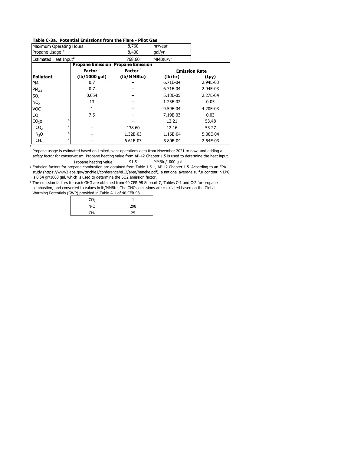#### **Table C-3a. Potential Emissions from the Flare - Pilot Gas**

| <b>Maximum Operating Hours</b>    |                         | 8,760                   | hr/year  |                      |
|-----------------------------------|-------------------------|-------------------------|----------|----------------------|
| Propane Usage <sup>a</sup>        |                         | 8,400                   | gal/yr   |                      |
| Estimated Heat Input <sup>a</sup> |                         | 768.60                  | MMBtu/yr |                      |
|                                   | <b>Propane Emission</b> | <b>Propane Emission</b> |          |                      |
|                                   | Factor <sup>b</sup>     | Factor <sup>c</sup>     |          | <b>Emission Rate</b> |
| <b>Pollutant</b>                  | (lb/1000 gal)           | (lb/MMBtu)              | (lb/hr)  | (tpy)                |
| $PM_{10}$                         | 0.7                     |                         | 6.71E-04 | 2.94E-03             |
| PM <sub>2.5</sub>                 | 0.7                     |                         | 6.71E-04 | 2.94E-03             |
| SO <sub>2</sub>                   | 0.054                   |                         | 5.18E-05 | 2.27E-04             |
| NO <sub>x</sub>                   | 13                      |                         | 1.25E-02 | 0.05                 |
| <b>VOC</b>                        |                         |                         | 9.59E-04 | 4.20E-03             |
| CO                                | 7.5                     |                         | 7.19E-03 | 0.03                 |
| $CO2$ e                           | ٢                       |                         | 12.21    | 53.48                |
| CO <sub>2</sub>                   | c                       | 138.60                  | 12.16    | 53.27                |
| N <sub>2</sub> O                  | c                       | 1.32E-03                | 1.16E-04 | 5.08E-04             |
| CH <sub>4</sub>                   | c                       | 6.61E-03                | 5.80E-04 | 2.54E-03             |

Propane heating value 91.5 MMBtu/1000 gal Propane usage is estimated based on limited plant operations data from November 2021 to now, and adding a safety factor for conservatism. Propane heating value from AP-42 Chapter 1.5 is used to determine the heat input.

b Emission factors for propane combustion are obtained from Table 1.5-1, AP-42 Chapter 1.5. According to an EPA study (https://www3.epa.gov/ttnchie1/conference/ei12/area/haneke.pdf), a national average sulfur content in LPG is 0.54 gr/1000 gal, which is used to determine the SO2 emission factor.

c The emission factors for each GHG are obtained from 40 CFR 98 Subpart C, Tables C-1 and C-2 for propane combustion, and converted to values in lb/MMBtu. The GHGs emissions are calculated based on the Global Warming Potentials (GWP) provided in Table A-1 of 40 CFR 98.

| . .              |     |
|------------------|-----|
| CO <sub>2</sub>  |     |
| N <sub>2</sub> O | 298 |
| CH <sub>4</sub>  | 25  |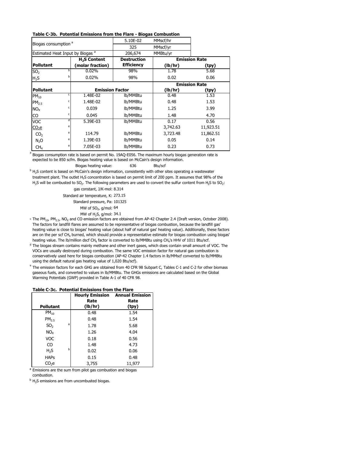#### **Table C-3b. Potential Emissions from the Flare - Biogas Combustion**

| Biogas consumption <sup>a</sup>             |   | 5.10E-02                 | MMscf/hr           |          |                      |
|---------------------------------------------|---|--------------------------|--------------------|----------|----------------------|
|                                             |   | 325                      | MMscf/yr           |          |                      |
| Estimated Heat Input by Biogas <sup>a</sup> |   |                          | 206,674            | MMBtu/yr |                      |
|                                             |   | H <sub>2</sub> S Content | <b>Destruction</b> |          | <b>Emission Rate</b> |
| <b>Pollutant</b>                            |   | (molar fraction)         | <b>Efficiency</b>  | (lb/hr)  | (tpy)                |
| SO <sub>2</sub>                             | h | 0.02%                    | 98%                | 1.78     | 5.68                 |
| H <sub>2</sub> S                            | b | 0.02%                    | 98%                | 0.02     | 0.06                 |
|                                             |   |                          |                    |          | <b>Emission Rate</b> |
| <b>Pollutant</b>                            |   | <b>Emission Factor</b>   |                    | (lb/hr)  | (tpy)                |
| $PM_{10}$                                   | c | 1.48E-02                 | lb/MMBtu           | 0.48     | 1.53                 |
| PM <sub>2.5</sub>                           | c | 1.48E-02                 | lb/MMBtu           | 0.48     | 1.53                 |
| NO <sub>x</sub>                             | c | 0.039                    | lb/MMBtu           | 1.25     | 3.99                 |
| CO                                          | c | 0.045                    | lb/MMBtu           | 1.48     | 4.70                 |
| <b>VOC</b>                                  | d | 5.39E-03                 | lb/MMBtu           | 0.17     | 0.56                 |
| $CO2$ e                                     | e |                          |                    | 3,742.63 | 11,923.51            |
| CO <sub>2</sub>                             | e | 114.79                   | lb/MMBtu           | 3,723.48 | 11,862.51            |
| N <sub>2</sub> O                            | e | 1.39E-03                 | lb/MMBtu           | 0.05     | 0.14                 |
| CH <sub>4</sub>                             | e | 7.05E-03                 | lb/MMBtu           | 0.23     | 0.73                 |

Biogas consumption rate is based on permit No. 19AQ-E056. The maximum hourly biogas generation rate is expected to be 850 scfm. Biogas heating value is based on McCain's design information.

Biogas heating value: 636 Btu/scf

<sup>b</sup> H<sub>2</sub>S content is based on McCain's design information, consistently with other sites operating a wastewater treatment plant. The outlet H2S concentration is based on permit limit of 200 ppm. It assumes that 98% of the H<sub>2</sub>S will be combusted to SO<sub>2</sub>. The following parameters are used to convert the sulfur content from H<sub>2</sub>S to SO<sub>2</sub>:

> gas constant, J/K-mol: 8.314 Standard air temperature, K: 273.15 Standard pressure, Pa: 101325 MW of  $SO<sub>2</sub>$ , g/mol: 64

a

MW of H2S, g/mol: 34.1

 $\cdot$  The PM<sub>10</sub>, PM<sub>2.5</sub>, NO<sub>X</sub> and CO emission factors are obtained from AP-42 Chapter 2.4 (Draft version, October 2008). The factors for landfill flares are assumed to be representative of biogas combustion, because the landfill gas' heating value is close to biogas' heating value (about half of natural gas' heating value). Additionally, these factors are on the per scf CH<sub>4</sub> burned, which should provide a representative estimate for biogas combustion using biogas' heating value. The lb/million dscf CH<sub>4</sub> factor is converted to lb/MMBtu using CH<sub>4</sub>'s HHV of 1011 Btu/scf.

<sup>d</sup> The biogas stream contains mainly methane and other inert gases, which does contain small amount of VOC. The VOCs are usually destroyed during combustion. The same VOC emission factor for natural gas combustion is conservatively used here for biogas combustion (AP-42 Chapter 1.4 factors in lb/MMscf converted to lb/MMBtu using the default natural gas heating value of 1,020 Btu/scf).

e The emission factors for each GHG are obtained from 40 CFR 98 Subpart C, Tables C-1 and C-2 for other biomass gaseous fuels, and converted to values in lb/MMBtu. The GHGs emissions are calculated based on the Global Warming Potentials (GWP) provided in Table A-1 of 40 CFR 98.

#### **Table C-3c. Potential Emissions from the Flare**

|                   |   | <b>Hourly Emission</b><br>Rate | <b>Annual Emission</b><br>Rate |
|-------------------|---|--------------------------------|--------------------------------|
| <b>Pollutant</b>  |   | (lb/hr)                        | (tpy)                          |
| $PM_{10}$         |   | 0.48                           | 1.54                           |
| PM <sub>2.5</sub> |   | 0.48                           | 1.54                           |
| SO <sub>2</sub>   | a | 1.78                           | 5.68                           |
| NO <sub>x</sub>   |   | 1.26                           | 4.04                           |
| <b>VOC</b>        |   | 0.18                           | 0.56                           |
| CO                |   | 1.48                           | 4.73                           |
| H,S               | b | 0.02                           | 0.06                           |
| <b>HAPs</b>       |   | 0.15                           | 0.48                           |
| CO <sub>2</sub> e |   | 3,755                          | 11,977                         |

<sup>a</sup> Emissions are the sum from pilot gas combustion and biogas combustion.

 $<sup>b</sup>$  H<sub>2</sub>S emissions are from uncombusted biogas.</sup>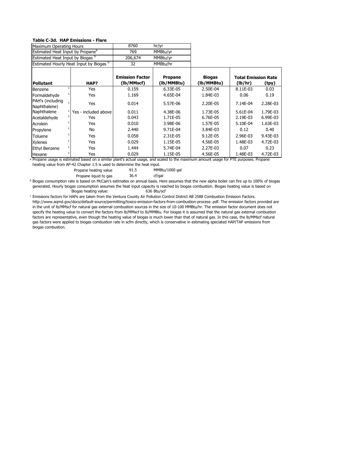#### **Table C-3d. HAP Emissions - Flare**

| Maximum Operating Hours                      |    |                                         | 8760                                 | hr/yr                        |                             |                                       |          |
|----------------------------------------------|----|-----------------------------------------|--------------------------------------|------------------------------|-----------------------------|---------------------------------------|----------|
| Estimated Heat Input by Propane <sup>a</sup> |    |                                         | 769                                  | MMBtu/yr                     |                             |                                       |          |
| Estimated Heat Input by Biogas b             |    |                                         | 206,674                              | MMBtu/yr                     |                             |                                       |          |
|                                              |    | Estimated Hourly Heat Input by Biogas b | 32                                   | MMBtu/hr                     |                             |                                       |          |
| <b>Pollutant</b>                             |    | HAP?                                    | <b>Emission Factor</b><br>(lb/MMscf) | <b>Propane</b><br>(lb/MMBtu) | <b>Biogas</b><br>(lb/MMBtu) | <b>Total Emission Rate</b><br>(lb/hr) | (tpy)    |
| Benzene                                      |    | Yes                                     | 0.159                                | 6.33E-05                     | 2.50E-04                    | 8.11E-03                              | 0.03     |
| Formaldehyde                                 |    | Yes                                     | 1.169                                | 4.65E-04                     | 1.84E-03                    | 0.06                                  | 0.19     |
| PAH's (including<br>Naphthalene)             |    | Yes                                     | 0.014                                | 5.57E-06                     | 2.20E-05                    | 7.14E-04                              | 2.28E-03 |
| Naphthalene                                  |    | Yes - included above                    | 0.011                                | 4.38E-06                     | 1.73E-05                    | 5.61E-04                              | 1.79E-03 |
| Acetaldehyde                                 | c. | Yes                                     | 0.043                                | 1.71E-05                     | 6.76E-05                    | 2.19E-03                              | 6.99E-03 |
| Acrolein                                     |    | Yes                                     | 0.010                                | 3.98E-06                     | 1.57E-05                    | 5.10E-04                              | 1.63E-03 |
| Propylene                                    |    | No                                      | 2.440                                | 9.71E-04                     | 3.84E-03                    | 0.12                                  | 0.40     |
| Toluene                                      |    | Yes                                     | 0.058                                | 2.31E-05                     | 9.12E-05                    | 2.96E-03                              | 9.43E-03 |
| <b>Xylenes</b>                               |    | Yes                                     | 0.029                                | 1.15E-05                     | 4.56E-05                    | 1.48E-03                              | 4.72E-03 |
| <b>Ethyl Benzene</b>                         |    | Yes                                     | 1.444                                | 5.74E-04                     | 2.27E-03                    | 0.07                                  | 0.23     |
| Hexane                                       |    | Yes                                     | 0.029                                | 1.15E-05                     | 4.56E-05                    | 1.48E-03                              | 4.72E-03 |

a Propane usage is estimated based on a similar plant's actual usage, and scaled to the maximum amount usage for PTE purposes. Propane heating value from AP-42 Chapter 1.5 is used to determine the heat input.

Propane heating value 91.5 MMBtu/1000 gal

| Propane liquid to gas | 36.4 | cf/gal |
|-----------------------|------|--------|
|                       |      |        |

**b** Biogas consumption rate is based on McCain's estimates on annual basis. Here assumes that the new alpha boiler can fire up to 100% of biogas Biogas heating value: 636 Btu/scf generated. Hourly biogas consumption assumes the heat input capacity is reached by biogas combustion. Biogas heating value is based on

c Emissions factors for HAPs are taken from the Ventura County Air Pollution Control District AB 2588 Combustion Emission Factors. http://www.aqmd.gov/docs/default-source/permitting/toxics-emission-factors-from-combustion-process-.pdf. The emission factors provided are in the unit of lb/MMscf for natural gas external combustion sources in the size of 10-100 MMBtu/hr. The emission factor document does not specify the heating value to convert the factors from lb/MMscf to lb/MMBtu. For biogas it is assumed that the natural gas external combustion factors are representative, even though the heating value of biogas is much lower than that of natural gas. In this case, the lb/MMscf natural gas factors were applied to biogas combustion rate in scfm directly, which is conservative in estimating speciated HAP/TAP emissions from biogas combustion.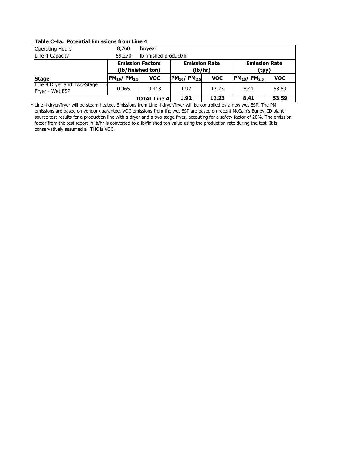### **Table C-4a. Potential Emissions from Line 4**

| <b>Operating Hours</b>                              | 8,760                         | hr/year                                      |                                                                  |            |                               |            |
|-----------------------------------------------------|-------------------------------|----------------------------------------------|------------------------------------------------------------------|------------|-------------------------------|------------|
| Line 4 Capacity                                     | 59,270                        | Ib finished product/hr                       |                                                                  |            |                               |            |
|                                                     |                               | <b>Emission Factors</b><br>(lb/finished ton) | <b>Emission Rate</b><br><b>Emission Rate</b><br>(lb/hr)<br>(tpy) |            |                               |            |
| <b>Stage</b>                                        | $PM_{10}$ / PM <sub>2.5</sub> | <b>VOC</b>                                   | $PM_{10}$ / PM <sub>2.5</sub>                                    | <b>VOC</b> | $PM_{10}$ / PM <sub>2.5</sub> | <b>VOC</b> |
| Line 4 Dryer and Two-Stage<br>al<br>Fryer - Wet ESP | 0.065                         | 0.413                                        | 1.92                                                             | 12.23      | 8.41                          | 53.59      |
|                                                     |                               | <b>TOTAL Line 4</b>                          | 1.92                                                             | 12.23      | 8.41                          | 53.59      |

a Line 4 dryer/fryer will be steam heated. Emissions from Line 4 dryer/fryer will be controlled by a new wet ESP. The PM emissions are based on vendor guarantee. VOC emissions from the wet ESP are based on recent McCain's Burley, ID plant source test results for a production line with a dryer and a two-stage fryer, accouting for a safety factor of 20%. The emission factor from the test report in lb/hr is converted to a lb/finished ton value using the production rate during the test. It is conservatively assumed all THC is VOC.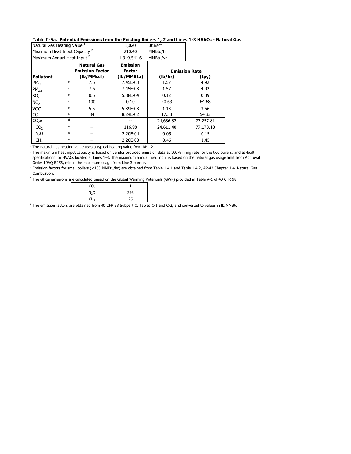#### **Table C-5a. Potential Emissions from the Existing Boilers 1, 2 and Lines 1-3 HVACs - Natural Gas**

| Natural Gas Heating Value <sup>a</sup>   |   |                                              | 1,020                            | Btu/scf   |                      |
|------------------------------------------|---|----------------------------------------------|----------------------------------|-----------|----------------------|
| Maximum Heat Input Capacity <sup>b</sup> |   |                                              | 210.40                           | MMBtu/hr  |                      |
| Maximum Annual Heat Input b              |   |                                              | 1,319,541.6                      | MMBtu/yr  |                      |
|                                          |   | <b>Natural Gas</b><br><b>Emission Factor</b> | <b>Emission</b><br><b>Factor</b> |           | <b>Emission Rate</b> |
| <b>Pollutant</b>                         |   | (lb/MMscf)                                   | (lb/MMBtu)                       | (lb/hr)   | (tpy)                |
| $PM_{10}$                                | c | 7.6                                          | 7.45E-03                         | 1.57      | 4.92                 |
| PM <sub>25</sub>                         | c | 7.6                                          | 7.45E-03                         | 1.57      | 4.92                 |
| SO <sub>2</sub>                          | c | 0.6                                          | 5.88E-04                         | 0.12      | 0.39                 |
| NO <sub>x</sub>                          | c | 100                                          | 0.10                             | 20.63     | 64.68                |
| VOC                                      | c | 5.5                                          | 5.39E-03                         | 1.13      | 3.56                 |
| CO                                       | c | 84                                           | 8.24E-02                         | 17.33     | 54.33                |
| $CO2$ e                                  | d |                                              |                                  | 24,636.82 | 77,257.81            |
| CO <sub>2</sub>                          | e |                                              | 116.98                           | 24,611.40 | 77,178.10            |
| N <sub>2</sub> O                         | e |                                              | 2.20E-04                         | 0.05      | 0.15                 |
| CH <sub>4</sub>                          | e |                                              | 2.20E-03                         | 0.46      | 1.45                 |

<sup>a</sup> The natural gas heating value uses a typical heating value from AP-42.

<sup>b</sup> The maximum heat input capacity is based on vendor provided emission data at 100% firing rate for the two boilers, and as-built specifications for HVACs located at Lines 1-3. The maximum annual heat input is based on the natural gas usage limit from Approval Order 19AQ-E056, minus the maximum usage from Line 3 burner.

c Emission factors for small boilers (<100 MMBtu/hr) are obtained from Table 1.4.1 and Table 1.4.2, AP-42 Chapter 1.4, Natural Gas Combustion.

<sup>d</sup> The GHGs emissions are calculated based on the Global Warming Potentials (GWP) provided in Table A-1 of 40 CFR 98.

| CO <sub>2</sub>  |     |
|------------------|-----|
| N <sub>2</sub> O | 298 |
| CH <sub>4</sub>  | 25  |

<sup>e</sup> The emission factors are obtained from 40 CFR 98 Subpart C, Tables C-1 and C-2, and converted to values in lb/MMBtu.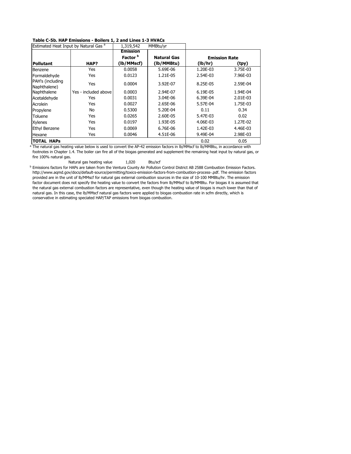#### **Table C-5b. HAP Emissions - Boilers 1, 2 and Lines 1-3 HVACs**

| Estimated Heat Input by Natural Gas <sup>a</sup> |                      | 1,319,542           | MMBtu/yr           |          |                      |
|--------------------------------------------------|----------------------|---------------------|--------------------|----------|----------------------|
|                                                  |                      | <b>Emission</b>     |                    |          |                      |
|                                                  |                      | Factor <sup>b</sup> | <b>Natural Gas</b> |          | <b>Emission Rate</b> |
| <b>Pollutant</b>                                 | HAP?                 | (lb/MMscf)          | (lb/MMBtu)         | (lb/hr)  | (tpy)                |
| Benzene                                          | Yes                  | 0.0058              | 5.69E-06           | 1.20E-03 | 3.75E-03             |
| Formaldehyde                                     | Yes                  | 0.0123              | 1.21E-05           | 2.54E-03 | 7.96E-03             |
| PAH's (including<br>Naphthalene)                 | Yes                  | 0.0004              | 3.92E-07           | 8.25E-05 | 2.59E-04             |
| Naphthalene                                      | Yes - included above | 0.0003              | 2.94E-07           | 6.19E-05 | 1.94E-04             |
| Acetaldehyde                                     | Yes                  | 0.0031              | 3.04E-06           | 6.39E-04 | 2.01E-03             |
| Acrolein                                         | Yes                  | 0.0027              | 2.65E-06           | 5.57E-04 | 1.75E-03             |
| Propylene                                        | No                   | 0.5300              | 5.20E-04           | 0.11     | 0.34                 |
| Toluene                                          | Yes                  | 0.0265              | 2.60E-05           | 5.47E-03 | 0.02                 |
| <b>Xylenes</b>                                   | Yes                  | 0.0197              | 1.93E-05           | 4.06E-03 | 1.27E-02             |
| <b>Ethyl Benzene</b>                             | Yes                  | 0.0069              | 6.76E-06           | 1.42E-03 | 4.46E-03             |
| Hexane                                           | Yes                  | 0.0046              | 4.51E-06           | 9.49E-04 | 2.98E-03             |
| <b>TOTAL HAPS</b>                                |                      |                     |                    | 0.02     | 0.05                 |

<sup>a</sup> The natural gas heating value below is used to convert the AP-42 emission factors in lb/MMscf to lb/MMBtu, in accordance with footnotes in Chapter 1.4. The boiler can fire all of the biogas generated and supplement the remaining heat input by natural gas, or fire 100% natural gas.

Natural gas heating value 1,020 Btu/scf

**b** Emissions factors for HAPs are taken from the Ventura County Air Pollution Control District AB 2588 Combustion Emission Factors. http://www.aqmd.gov/docs/default-source/permitting/toxics-emission-factors-from-combustion-process-.pdf. The emission factors provided are in the unit of lb/MMscf for natural gas external combustion sources in the size of 10-100 MMBtu/hr. The emission factor document does not specify the heating value to convert the factors from lb/MMscf to lb/MMBtu. For biogas it is assumed that the natural gas external combustion factors are representative, even though the heating value of biogas is much lower than that of natural gas. In this case, the lb/MMscf natural gas factors were applied to biogas combustion rate in scfm directly, which is conservative in estimating speciated HAP/TAP emissions from biogas combustion.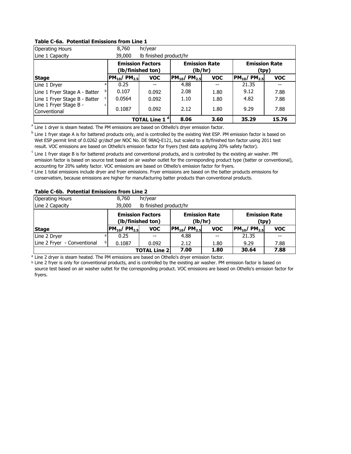### **Table C-6a. Potential Emissions from Line 1**

| <b>Operating Hours</b>                                  | 8,760                         | hr/year                                      |                               |                                 |                               |            |
|---------------------------------------------------------|-------------------------------|----------------------------------------------|-------------------------------|---------------------------------|-------------------------------|------------|
| Line 1 Capacity                                         | 39,000                        | Ib finished product/hr                       |                               |                                 |                               |            |
|                                                         |                               | <b>Emission Factors</b><br>(lb/finished ton) |                               | <b>Emission Rate</b><br>(lb/hr) | <b>Emission Rate</b><br>(tpy) |            |
| <b>Stage</b>                                            | $PM_{10}$ / PM <sub>2.5</sub> | <b>VOC</b>                                   | $PM_{10}$ / PM <sub>2.5</sub> | <b>VOC</b>                      | $PM_{10}$ / PM <sub>2.5</sub> | <b>VOC</b> |
| Line 1 Dryer                                            | 0.25                          | --                                           | 4.88                          | --                              | 21.35                         | --         |
| Line 1 Fryer Stage A - Batter                           | 0.107                         | 0.092                                        | 2.08                          | 1.80                            | 9.12                          | 7.88       |
| Line 1 Fryer Stage B - Batter<br>Line 1 Fryer Stage B - | 0.0564                        | 0.092                                        | 1.10                          | 1.80                            | 4.82                          | 7.88       |
| Conventional                                            | 0.1087                        | 0.092                                        | 2.12                          | 1.80                            | 9.29                          | 7.88       |
|                                                         |                               | <b>TOTAL Line 1<sup>d</sup></b>              | 8.06                          | 3.60                            | 35.29                         | 15.76      |

<sup>a</sup> Line 1 dryer is steam heated. The PM emissions are based on Othello's dryer emission factor.

<sup>b</sup> Line 1 fryer stage A is for battered products only, and is controlled by the existing Wet ESP. PM emission factor is based on Wet ESP permit limit of 0.0262 gr/dscf per NOC No. DE 98AQ-E121, but scaled to a lb/finished ton factor using 2011 test result. VOC emissions are based on Othello's emission factor for fryers (test data applying 20% safety factor).

<sup>c</sup> Line 1 fryer stage B is for battered products and conventional products, and is controlled by the existing air washer. PM emission factor is based on source test based on air washer outlet for the corresponding product type (batter or conventional), accounting for 20% safety factor. VOC emissions are based on Othello's emission factor for fryers.

d Line 1 total emissions include dryer and fryer emissions. Fryer emissions are based on the batter products emissions for conservatism, because emissions are higher for manufacturing batter products than conventional products.

#### **Table C-6b. Potential Emissions from Line 2**

| <b>Operating Hours</b>      | 8,760                | hr/year                                      |                               |                                 |                               |            |
|-----------------------------|----------------------|----------------------------------------------|-------------------------------|---------------------------------|-------------------------------|------------|
| Line 2 Capacity             | 39,000               | Ib finished product/hr                       |                               |                                 |                               |            |
|                             |                      | <b>Emission Factors</b><br>(lb/finished ton) |                               | <b>Emission Rate</b><br>(lb/hr) | <b>Emission Rate</b><br>(tpy) |            |
| <b>Stage</b>                | $ PM_{10}/PM_{2.5} $ | <b>VOC</b>                                   | $PM_{10}$ / PM <sub>2.5</sub> | <b>VOC</b>                      | $PM_{10}$ / PM <sub>2.5</sub> | <b>VOC</b> |
| Line 2 Dryer                | 0.25                 |                                              | 4.88                          | --                              | 21.35                         |            |
| Line 2 Fryer - Conventional | 0.1087               | 0.092                                        | 2.12                          | 1.80                            | 9.29                          | 7.88       |
|                             |                      | <b>TOTAL Line 2</b>                          | 7.00                          | 1.80                            | 30.64                         | 7.88       |

<sup>a</sup> Line 2 dryer is steam heated. The PM emissions are based on Othello's dryer emission factor.

b Line 2 fryer is only for conventional products, and is controlled by the existing air washer. PM emission factor is based on source test based on air washer outlet for the corresponding product. VOC emissions are based on Othello's emission factor for fryers.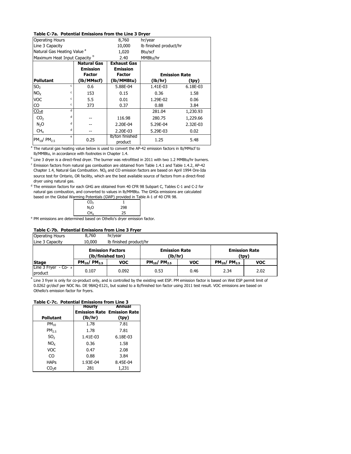#### **Table C-7a. Potential Emissions from the Line 3 Dryer**

| <b>Operating Hours</b>                   |   |                    | 8,760                      | hr/year                |                      |  |
|------------------------------------------|---|--------------------|----------------------------|------------------------|----------------------|--|
| Line 3 Capacity                          |   |                    | 10,000                     | lb finished product/hr |                      |  |
| Natural Gas Heating Value <sup>a</sup>   |   |                    | 1,020                      | Btu/scf                |                      |  |
| Maximum Heat Input Capacity <sup>b</sup> |   |                    | 2.40                       | MMBtu/hr               |                      |  |
|                                          |   | <b>Natural Gas</b> | <b>Exhaust Gas</b>         |                        |                      |  |
|                                          |   | <b>Emission</b>    | <b>Emission</b>            |                        |                      |  |
|                                          |   | <b>Factor</b>      | <b>Factor</b>              |                        | <b>Emission Rate</b> |  |
| <b>Pollutant</b>                         |   | (lb/MMscf)         | (lb/MMBtu)                 | (lb/hr)                | (tpy)                |  |
| SO <sub>2</sub>                          | c | 0.6                | 5.88E-04                   | 1.41E-03               | 6.18E-03             |  |
| NO <sub>x</sub>                          | c | 153                | 0.15                       | 0.36                   | 1.58                 |  |
| <b>VOC</b>                               | c | 5.5                | 0.01                       | 1.29E-02               | 0.06                 |  |
| CO                                       | c | 373                | 0.37                       | 0.88                   | 3.84                 |  |
| $CO2$ e                                  | d |                    |                            | 281.04                 | 1,230.93             |  |
| CO <sub>2</sub>                          | d |                    | 116.98                     | 280.75                 | 1,229.66             |  |
| N <sub>2</sub> O                         | d |                    | 2.20E-04                   | 5.29E-04               | 2.32E-03             |  |
| CH <sub>4</sub>                          | d |                    | 2.20E-03                   | 5.29E-03               | 0.02                 |  |
| $PM_{10}$ / $PM_{25}$                    | e | 0.25               | lb/ton finished<br>product | 1.25                   | 5.48                 |  |

<sup>a</sup> The natural gas heating value below is used to convert the AP-42 emission factors in lb/MMscf to lb/MMBtu, in accordance with footnotes in Chapter 1.4.

 $^{\rm b}$  Line 3 dryer is a direct-fired dryer. The burner was retrofitted in 2011 with two 1.2 MMBtu/hr burners.  $c$  Emission factors from natural gas combustion are obtained from Table 1.4.1 and Table 1.4.2, AP-42 Chapter 1.4, Natural Gas Combustion. NO<sub>x</sub> and CO emission factors are based on April 1994 Ore-Ida source test for Ontario, OR facility, which are the best available source of factors from a direct-fired dryer using natural gas.

<sup>d</sup> The emission factors for each GHG are obtained from 40 CFR 98 Subpart C, Tables C-1 and C-2 for natural gas combustion, and converted to values in lb/MMBtu. The GHGs emissions are calculated based on the Global Warming Potentials (GWP) provided in Table A-1 of 40 CFR 98.

| CO <sub>2</sub>  |     |
|------------------|-----|
| N <sub>2</sub> O | 298 |
| CH <sub>4</sub>  | 25  |
|                  |     |

<sup>e</sup> PM emissions are determined based on Othello's dryer emission factor.

#### **Table C-7b. Potential Emissions from Line 3 Fryer**

| <b>Operating Hours</b>              | 8,760                  | hr/year                                      |                                 |            |                               |            |
|-------------------------------------|------------------------|----------------------------------------------|---------------------------------|------------|-------------------------------|------------|
| Line 3 Capacity                     | 10,000                 | Ib finished product/hr                       |                                 |            |                               |            |
|                                     |                        | <b>Emission Factors</b><br>(lb/finished ton) | <b>Emission Rate</b><br>(lb/hr) |            | <b>Emission Rate</b><br>(tpy) |            |
| <b>Stage</b>                        | $PM_{10}$ / $PM_{2.5}$ | <b>VOC</b>                                   | $PM_{10}$ / $PM_{2.5}$          | <b>VOC</b> | $PM_{10}$ / $PM_{2.5}$        | <b>VOC</b> |
| Line $3$ Fryer $-$ Co- a<br>product | 0.107                  | 0.092                                        | 0.53                            | 0.46       | 2.34                          | 2.02       |

<sup>a</sup> Line 3 fryer is only for co-product only, and is controlled by the existing wet ESP. PM emission factor is based on Wet ESP permit limit of 0.0262 gr/dscf per NOC No. DE 98AQ-E121, but scaled to a lb/finished ton factor using 2011 test result. VOC emissions are based on Othello's emission factor for fryers.

#### **Table C-7c. Potential Emissions from Line 3**

|                   | <b>Hourly</b> | Annual                             |
|-------------------|---------------|------------------------------------|
|                   |               | <b>Emission Rate Emission Rate</b> |
| <b>Pollutant</b>  | (lb/hr)       | (tpy)                              |
| $PM_{10}$         | 1.78          | 7.81                               |
| $PM_{25}$         | 1.78          | 7.81                               |
| SO <sub>2</sub>   | 1.41E-03      | 6.18E-03                           |
| $NO_{Y}$          | 0.36          | 1.58                               |
| VOC               | 0.47          | 2.08                               |
| CO                | 0.88          | 3.84                               |
| <b>HAPs</b>       | 1.93E-04      | 8.45E-04                           |
| CO <sub>2</sub> e | 281           | 1,231                              |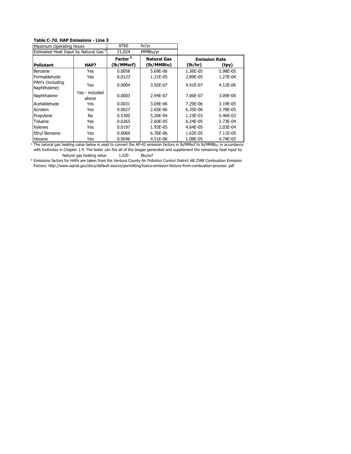#### **Table C-7d. HAP Emissions - Line 3**

| Maximum Operating Hours          |                                                  | 8760                | hr/yr              |                      |          |
|----------------------------------|--------------------------------------------------|---------------------|--------------------|----------------------|----------|
|                                  | Estimated Heat Input by Natural Gas <sup>a</sup> |                     | 21,024<br>MMBtu/yr |                      |          |
|                                  |                                                  | Factor <sup>b</sup> | <b>Natural Gas</b> | <b>Emission Rate</b> |          |
| <b>Pollutant</b>                 | HAP?                                             | (lb/MMscf)          | (lb/MMBtu)         | (lb/hr)              | (tpy)    |
| Benzene                          | Yes                                              | 0.0058              | 5.69E-06           | 1.36E-05             | 5.98E-05 |
| Formaldehyde                     | Yes                                              | 0.0123              | 1.21E-05           | 2.89E-05             | 1.27E-04 |
| PAH's (including<br>Naphthalene) | Yes                                              | 0.0004              | 3.92E-07           | 9.41E-07             | 4.12E-06 |
| Naphthalene                      | Yes - included<br>above                          | 0.0003              | 2.94E-07           | 7.06E-07             | 3.09E-06 |
| Acetaldehyde                     | Yes                                              | 0.0031              | 3.04E-06           | 7.29E-06             | 3.19E-05 |
| Acrolein                         | Yes                                              | 0.0027              | 2.65E-06           | 6.35E-06             | 2.78E-05 |
| Propylene                        | No                                               | 0.5300              | 5.20E-04           | 1.25E-03             | 5.46E-03 |
| Toluene                          | Yes                                              | 0.0265              | 2.60E-05           | 6.24E-05             | 2.73E-04 |
| <b>Xylenes</b>                   | Yes                                              | 0.0197              | 1.93E-05           | 4.64E-05             | 2.03E-04 |
| <b>Ethyl Benzene</b>             | Yes                                              | 0.0069              | 6.76E-06           | 1.62E-05             | 7.11E-05 |
| Hexane                           | Yes                                              | 0.0046              | 4.51E-06           | 1.08E-05             | 4.74E-05 |

<sup>a</sup> The natural gas heating value below is used to convert the AP-42 emission factors in lb/MMscf to lb/MMBtu, in accordance Natural gas heating value 1,020 Btu/scf with footnotes in Chapter 1.4. The boiler can fire all of the biogas generated and supplement the remaining heat input by

b Emissions factors for HAPs are taken from the Ventura County Air Pollution Control District AB 2588 Combustion Emission Factors. http://www.aqmd.gov/docs/default-source/permitting/toxics-emission-factors-from-combustion-process-.pdf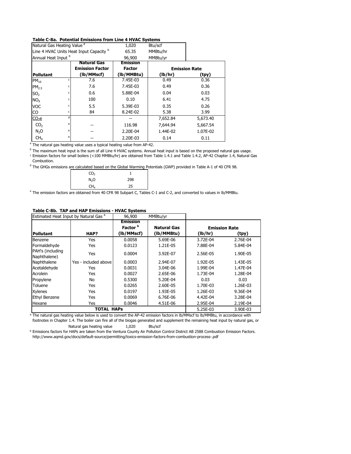#### **Table C-8a. Potential Emissions from Line 4 HVAC Systems**

| Natural Gas Heating Value <sup>a</sup>  |   | 1,020                  | Btu/scf         |          |                      |
|-----------------------------------------|---|------------------------|-----------------|----------|----------------------|
| Line 4 HVAC Units Heat Input Capacity b |   | 65.35                  | MMBtu/hr        |          |                      |
| Annual Heat Input b                     |   |                        | 96,900          | MMBtu/yr |                      |
|                                         |   | <b>Natural Gas</b>     | <b>Emission</b> |          |                      |
|                                         |   | <b>Emission Factor</b> | <b>Factor</b>   |          | <b>Emission Rate</b> |
| <b>Pollutant</b>                        |   | (lb/MMscf)             | (lb/MMBtu)      | (lb/hr)  | (tpy)                |
| $PM_{10}$                               | c | 7.6                    | 7.45E-03        | 0.49     | 0.36                 |
| PM <sub>2.5</sub>                       |   | 7.6                    | 7.45E-03        | 0.49     | 0.36                 |
| SO <sub>2</sub>                         |   | 0.6                    | 5.88E-04        | 0.04     | 0.03                 |
| NO <sub>x</sub>                         | c | 100                    | 0.10            | 6.41     | 4.75                 |
| <b>VOC</b>                              | c | 5.5                    | 5.39E-03        | 0.35     | 0.26                 |
| CO                                      | c | 84                     | 8.24E-02        | 5.38     | 3.99                 |
| $CO2$ e                                 | d |                        |                 | 7,652.84 | 5,673.40             |
| CO <sub>2</sub>                         |   |                        | 116.98          | 7,644.94 | 5,667.54             |
| N <sub>2</sub> O                        | e |                        | 2.20E-04        | 1.44E-02 | 1.07E-02             |
| CH <sub>4</sub>                         | e |                        | 2.20E-03        | 0.14     | 0.11                 |

a The natural gas heating value uses a typical heating value from AP-42.

<sup>b</sup> The maximum heat input is the sum of all Line 4 HVAC systems. Annual heat input is based on the proposed natural gas usage. c Emission factors for small boilers (<100 MMBtu/hr) are obtained from Table 1.4.1 and Table 1.4.2, AP-42 Chapter 1.4, Natural Gas Combustion.

<sup>d</sup> The GHGs emissions are calculated based on the Global Warming Potentials (GWP) provided in Table A-1 of 40 CFR 98.

| CO <sub>2</sub>  |     |
|------------------|-----|
| N <sub>2</sub> O | 298 |
| CH <sub>4</sub>  | 25  |

<sup>e</sup> The emission factors are obtained from 40 CFR 98 Subpart C, Tables C-1 and C-2, and converted to values in lb/MMBtu.

#### **Table C-8b. TAP and HAP Emissions - HVAC Systems**

| Estimated Heat Input by Natural Gas <sup>a</sup> |                      | 96,900              | MMBtu/yr    |                      |          |
|--------------------------------------------------|----------------------|---------------------|-------------|----------------------|----------|
|                                                  |                      | <b>Emission</b>     |             |                      |          |
|                                                  |                      | Factor <sup>b</sup> | Natural Gas | <b>Emission Rate</b> |          |
| <b>Pollutant</b>                                 | HAP?                 | (lb/MMscf)          | (lb/MMBtu)  | (lb/hr)              | (tpy)    |
| Benzene                                          | Yes                  | 0.0058              | 5.69E-06    | 3.72E-04             | 2.76E-04 |
| Formaldehyde                                     | Yes                  | 0.0123              | 1.21E-05    | 7.88E-04             | 5.84E-04 |
| PAH's (including<br>Naphthalene)                 | Yes                  | 0.0004              | 3.92E-07    | 2.56E-05             | 1.90E-05 |
| Naphthalene                                      | Yes - included above | 0.0003              | 2.94E-07    | 1.92E-05             | 1.43E-05 |
| Acetaldehyde                                     | Yes                  | 0.0031              | 3.04E-06    | 1.99E-04             | 1.47E-04 |
| Acrolein                                         | Yes                  | 0.0027              | 2.65E-06    | 1.73E-04             | 1.28E-04 |
| Propylene                                        | No                   | 0.5300              | 5.20E-04    | 0.03                 | 0.03     |
| Toluene                                          | Yes                  | 0.0265              | 2.60E-05    | 1.70E-03             | 1.26E-03 |
| <b>Xylenes</b>                                   | Yes                  | 0.0197              | 1.93E-05    | 1.26E-03             | 9.36E-04 |
| <b>Ethyl Benzene</b>                             | Yes                  | 0.0069              | 6.76E-06    | 4.42E-04             | 3.28E-04 |
| Hexane                                           | Yes                  | 0.0046              | 4.51E-06    | 2.95E-04             | 2.19E-04 |
|                                                  | <b>TOTAL HAPS</b>    |                     |             | 5.25E-03             | 3.90E-03 |

<sup>a</sup> The natural gas heating value below is used to convert the AP-42 emission factors in lb/MMscf to lb/MMBtu, in accordance with Natural gas heating value 1,020 Btu/scf footnotes in Chapter 1.4. The boiler can fire all of the biogas generated and supplement the remaining heat input by natural gas, or

<sup>b</sup> Emissions factors for HAPs are taken from the Ventura County Air Pollution Control District AB 2588 Combustion Emission Factors. http://www.aqmd.gov/docs/default-source/permitting/toxics-emission-factors-from-combustion-process-.pdf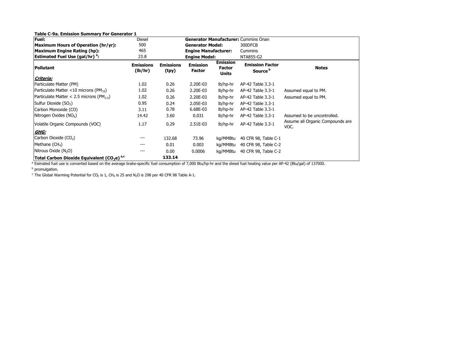| <b>Fuel:</b>                                                       | <b>Diesel</b>               |                           |                                  |                                           | <b>Generator Manufacturer: Cummins Onan</b>   |                                          |  |  |
|--------------------------------------------------------------------|-----------------------------|---------------------------|----------------------------------|-------------------------------------------|-----------------------------------------------|------------------------------------------|--|--|
| Maximum Hours of Operation (hr/yr):                                | 500                         | <b>Generator Model:</b>   |                                  |                                           | 300DFCB                                       |                                          |  |  |
| Maximum Engine Rating (hp):                                        | 465<br>23.8                 |                           | <b>Engine Manufacturer:</b>      |                                           | Cummins                                       |                                          |  |  |
| <b>Estimated Fuel Use (gal/hr)<sup>a</sup>:</b>                    |                             |                           | <b>Engine Model:</b>             |                                           | NTA855-G2                                     |                                          |  |  |
| <b>Pollutant</b>                                                   | <b>Emissions</b><br>(lb/hr) | <b>Emissions</b><br>(tpy) | <b>Emission</b><br><b>Factor</b> | <b>Emission</b><br>Factor<br><b>Units</b> | <b>Emission Factor</b><br>Source <sup>b</sup> | <b>Notes</b>                             |  |  |
| Criteria:                                                          |                             |                           |                                  |                                           |                                               |                                          |  |  |
| Particulate Matter (PM)                                            | 1.02                        | 0.26                      | 2.20E-03                         | lb/hp-hr                                  | AP-42 Table 3.3-1                             |                                          |  |  |
| Particulate Matter <10 microns (PM $_{10}$ )                       | 1.02                        | 0.26                      | 2.20E-03                         | lb/hp-hr                                  | AP-42 Table 3.3-1                             | Assumed equal to PM.                     |  |  |
| Particulate Matter < 2.5 microns (PM <sub>2.5</sub> )              | 1.02                        | 0.26                      | 2.20E-03                         | lb/hp-hr                                  | AP-42 Table 3.3-1                             | Assumed equal to PM.                     |  |  |
| Sulfur Dioxide (SO <sub>2</sub> )                                  | 0.95                        | 0.24                      | 2.05E-03                         | lb/hp-hr                                  | AP-42 Table 3.3-1                             |                                          |  |  |
| Carbon Monoxide (CO)                                               | 3.11                        | 0.78                      | 6.68E-03                         | lb/hp-hr                                  | AP-42 Table 3.3-1                             |                                          |  |  |
| Nitrogen Oxides (NO <sub>x</sub> )                                 | 14.42                       | 3.60                      | 0.031                            | lb/hp-hr                                  | AP-42 Table 3.3-1                             | Assumed to be uncontrolled.              |  |  |
| Volatile Organic Compounds (VOC)                                   | 1.17                        | 0.29                      | 2.51E-03                         | lb/hp-hr                                  | AP-42 Table 3.3-1                             | Assume all Organic Compounds are<br>VOC. |  |  |
| GHG:                                                               |                             |                           |                                  |                                           |                                               |                                          |  |  |
| Carbon Dioxide (CO <sub>2</sub> )                                  | ---                         | 132.68                    | 73.96                            | kg/MMBtu                                  | 40 CFR 98, Table C-1                          |                                          |  |  |
| Methane $(CH_4)$                                                   | ---                         | 0.01                      | 0.003                            | kg/MMBtu                                  | 40 CFR 98, Table C-2                          |                                          |  |  |
| Nitrous Oxide (N <sub>2</sub> O)                                   | ---                         | 0.00                      | 0.0006                           | kg/MMBtu                                  | 40 CFR 98, Table C-2                          |                                          |  |  |
| Total Carbon Dioxide Equivalent (CO <sub>2</sub> e) <sup>a,c</sup> |                             | 133.14                    |                                  |                                           |                                               |                                          |  |  |

**b** promulgation.

 $\rm ^c$  The Global Warming Potential for CO<sub>2</sub> is 1, CH<sub>4</sub> is 25 and N<sub>2</sub>O is 298 per 40 CFR 98 Table A-1.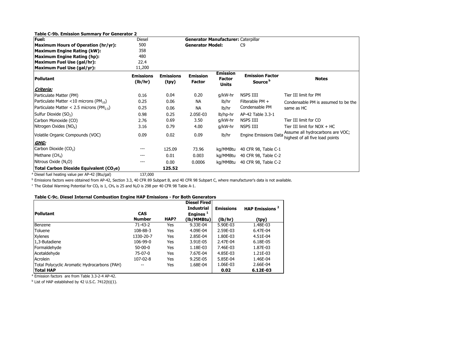| <b>Table C-9b. Emission Summary For Generator 2</b>   |                             |                           |                                     |                                           |                                               |                                                                     |
|-------------------------------------------------------|-----------------------------|---------------------------|-------------------------------------|-------------------------------------------|-----------------------------------------------|---------------------------------------------------------------------|
| Fuel:                                                 | Diesel                      |                           | Generator Manufacturer: Caterpillar |                                           |                                               |                                                                     |
| Maximum Hours of Operation (hr/yr):                   | 500                         |                           | <b>Generator Model:</b>             |                                           | C <sub>9</sub>                                |                                                                     |
| Maximum Engine Rating (kW):                           | 358                         |                           |                                     |                                           |                                               |                                                                     |
| Maximum Engine Rating (hp):                           | 480                         |                           |                                     |                                           |                                               |                                                                     |
| Maximum Fuel Use (gal/hr):                            | 22.4                        |                           |                                     |                                           |                                               |                                                                     |
| Maximum Fuel Use (gal/yr):                            | 11,200                      |                           |                                     |                                           |                                               |                                                                     |
| <b>Pollutant</b>                                      | <b>Emissions</b><br>(lb/hr) | <b>Emissions</b><br>(tpy) | <b>Emission</b><br><b>Factor</b>    | <b>Emission</b><br><b>Factor</b><br>Units | <b>Emission Factor</b><br>Source <sup>b</sup> | <b>Notes</b>                                                        |
| Criteria:                                             |                             |                           |                                     |                                           |                                               |                                                                     |
| Particulate Matter (PM)                               | 0.16                        | 0.04                      | 0.20                                | g/kW-hr                                   | NSPS IIII                                     | Tier III limit for PM                                               |
| Particulate Matter <10 microns (PM <sub>10</sub> )    | 0.25                        | 0.06                      | <b>NA</b>                           | lb/hr                                     | Filterable PM +                               | Condensable PM is assumed to be the                                 |
| Particulate Matter < 2.5 microns (PM <sub>2.5</sub> ) | 0.25                        | 0.06                      | <b>NA</b>                           | lb/hr                                     | Condensable PM                                | same as HC                                                          |
| Sulfur Dioxide (SO <sub>2</sub> )                     | 0.98                        | 0.25                      | 2.05E-03                            | lb/hp-hr                                  | AP-42 Table 3.3-1                             |                                                                     |
| Carbon Monoxide (CO)                                  | 2.76                        | 0.69                      | 3.50                                | g/kW-hr                                   | NSPS IIII                                     | Tier III limit for CO                                               |
| Nitrogen Oxides (NO <sub>x</sub> )                    | 3.16                        | 0.79                      | 4.00                                | g/kW-hr                                   | NSPS IIII                                     | Tier III limit for $NOX + HC$                                       |
| Volatile Organic Compounds (VOC)                      | 0.09                        | 0.02                      | 0.09                                | lb/hr                                     | <b>Engine Emissions Data</b>                  | Assume all hydrocarbons are VOC;<br>highest of all five load points |
| GHG:                                                  |                             |                           |                                     |                                           |                                               |                                                                     |
| Carbon Dioxide (CO <sub>2</sub> )                     | $---$                       | 125.09                    | 73.96                               | kg/MMBtu                                  | 40 CFR 98, Table C-1                          |                                                                     |
| Methane $(CH_4)$                                      | ---                         | 0.01                      | 0.003                               | kg/MMBtu                                  | 40 CFR 98, Table C-2                          |                                                                     |
| Nitrous Oxide (N <sub>2</sub> O)                      | ---                         | 0.00                      | 0.0006                              | kg/MMBtu                                  | 40 CFR 98, Table C-2                          |                                                                     |
| Total Carbon Dioxide Equivalent (CO <sub>2</sub> e)   |                             | 125.52                    |                                     |                                           |                                               |                                                                     |

<sup>a</sup> Diesel fuel heating value per AP-42 (Btu/gal)  $137,000$ 

<sup>b</sup> Emissions factors were obtained from AP-42, Section 3.3, 40 CFR 89 Subpart B, and 40 CFR 98 Subpart C, where manufacturer's data is not available.

 $\rm ^c$  The Global Warming Potential for CO<sub>2</sub> is 1, CH<sub>4</sub> is 25 and N<sub>2</sub>O is 298 per 40 CFR 98 Table A-1.

#### **Table C-9c. Diesel Internal Combustion Engine HAP Emissions - For Both Generators**

|                                              |                |      | <b>Diesel Fired</b>  |                  |                            |
|----------------------------------------------|----------------|------|----------------------|------------------|----------------------------|
|                                              |                |      | <b>Industrial</b>    | <b>Emissions</b> | HAP Emissions <sup>2</sup> |
| Pollutant                                    | <b>CAS</b>     |      | Engines <sup>1</sup> |                  |                            |
|                                              | <b>Number</b>  | HAP? | (lb/MMBtu)           | (lb/hr)          | (tpy)                      |
| Benzene                                      | 71-43-2        | Yes  | 9.33E-04             | 5.90E-03         | 1.48E-03                   |
| Toluene                                      | 108-88-3       | Yes  | 4.09E-04             | 2.59E-03         | 6.47E-04                   |
| <b>Xylenes</b>                               | 1330-20-7      | Yes  | 2.85E-04             | 1.80E-03         | 4.51E-04                   |
| 1,3-Butadiene                                | $106 - 99 - 0$ | Yes  | 3.91E-05             | 2.47E-04         | 6.18E-05                   |
| Formaldehyde                                 | $50-00-0$      | Yes  | 1.18E-03             | 7.46E-03         | 1.87E-03                   |
| Acetaldehyde                                 | 75-07-0        | Yes  | 7.67E-04             | 4.85E-03         | 1.21E-03                   |
| Acrolein                                     | 107-02-8       | Yes  | 9.25E-05             | 5.85E-04         | 1.46E-04                   |
| Total Polycyclic Aromatic Hydrocarbons (PAH) | --             | Yes  | 1.68E-04             | 1.06E-03         | 2.66E-04                   |
| <b>Total HAP</b>                             |                |      |                      | 0.02             | 6.12E-03                   |

<sup>a</sup> Emission factors are from Table 3.3-2-4 AP-42.

 $b$  List of HAP established by 42 U.S.C. 7412(b)(1).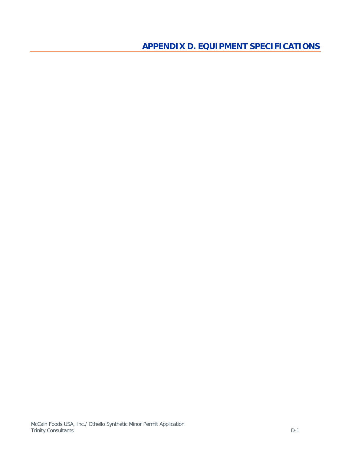<span id="page-41-0"></span>**APPENDIX D. EQUIPMENT SPECIFICATIONS**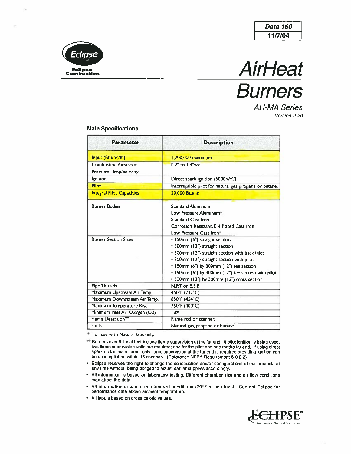





**AH-MA Series** Version 2.20

#### **Main Specifications**

| <b>Parameter</b>                 | <b>Description</b>                                      |
|----------------------------------|---------------------------------------------------------|
| Input (Btu/hr./ft.)              | 1,200,000 maximum                                       |
| <b>Combustion Airstream</b>      | 0.2" to 1.4"w.c.                                        |
| Pressure Drop/Velocity           |                                                         |
| <b>Ignition</b>                  | Direct spark ignition (6000VAC).                        |
| Pilot                            | Interruptible pilot for natural gas, propane or butane. |
| <b>Integral Pilot Capacities</b> | 20.000 Btu/hr.                                          |
| <b>Burner Bodies</b>             | <b>Standard Aluminum</b>                                |
|                                  | Low Pressure Aluminum*                                  |
|                                  | <b>Standard Cast Iron</b>                               |
|                                  | Corrosion Resistant, EN Plated Cast Iron                |
|                                  | Low Pressure Cast Iron*                                 |
| <b>Burner Section Sizes</b>      | • 150mm (6") straight section                           |
|                                  | • 300mm (12") straight section                          |
|                                  | • 300mm (12") straight section with back inlet          |
|                                  | • 300mm (12") straight section with pilot               |
|                                  | • 150mm (6") by 300mm (12") tee section                 |
|                                  | • 150mm (6") by 300mm (12") tee section with pilot      |
|                                  | • 300mm (12") by 300mm (12") cross section              |
| <b>Pipe Threads</b>              | N.P.T. or B.S.P.                                        |
| Maximum Upstream Air Temp.       | 450°F (232°C)                                           |
| Maximum Downstream Air Temp.     | 850°F (454°C)                                           |
| Maximum Temperature Rise         | 750°F (400°C)                                           |
| Minimum Inlet Air Oxygen (O2)    | 18%                                                     |
| Flame Detection**                | Flame rod or scanner.                                   |
| Fuels                            | Natural gas, propane or butane.                         |

\* For use with Natural Gas only.

- \*\* Burners over 5 lineal feet include flame supervision at the far end. If pilot ignition is being used, two flame supervision units are required; one for the pilot and one for the far end. If using direct spark on the main flame, only flame supervision at the far end is required providing ignition can be accomplished within 15 seconds. (Reference NFPA Requirement 5-9.2.2)
- Eclipse reserves the right to change the construction and/or configurations of our products at  $\bullet$ any time without being obliged to adjust earlier supplies accordingly.
- All information is based on laboratory testing. Different chamber size and air flow conditions  $\bullet$ may affect the data.
- All information is based on standard conditions (70°F at sea level). Contact Eclipse for  $\bullet$ performance data above ambient temperature.
- All inputs based on gross caloric values.  $\bullet$

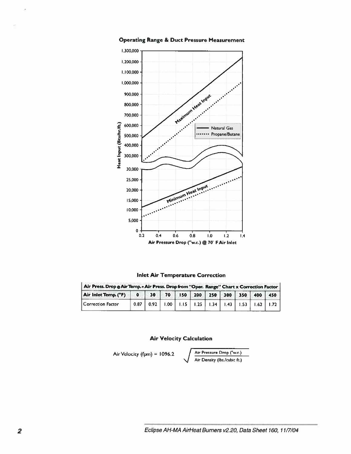

**Operating Range & Duct Pressure Measurement** 

**Inlet Air Temperature Correction** 

| Air Press. Drop @ Air Temp. = Air Press. Drop from "Oper. Range" Chart x Correction Factor |  |                                                       |  |  |  |  |  |  |  |  |
|--------------------------------------------------------------------------------------------|--|-------------------------------------------------------|--|--|--|--|--|--|--|--|
| Air Inlet Temp. (°F) 0 30 70 150 200 250 300 350 400 450                                   |  |                                                       |  |  |  |  |  |  |  |  |
| Correction Factor                                                                          |  | $0.87$ $0.92$ 1.00 1.15 1.25 1.34 1.43 1.53 1.62 1.72 |  |  |  |  |  |  |  |  |

### **Air Velocity Calculation**

Air Velocity (fpm) = 1096.2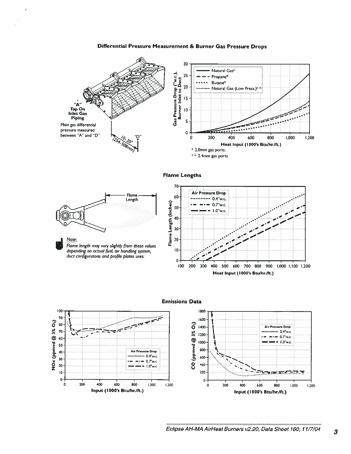#### Differential Pressure Measurement & Burner Gas Pressure Drops



 $** 2.4$ mm gas ports

#### **Flame Lengths**







**Emissions Data**